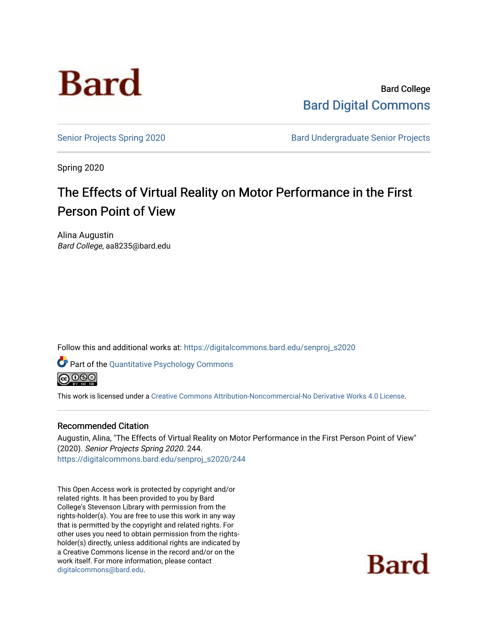

Bard College [Bard Digital Commons](https://digitalcommons.bard.edu/) 

[Senior Projects Spring 2020](https://digitalcommons.bard.edu/senproj_s2020) **Bard Undergraduate Senior Projects** 

Spring 2020

# The Effects of Virtual Reality on Motor Performance in the First Person Point of View

Alina Augustin Bard College, aa8235@bard.edu

Follow this and additional works at: [https://digitalcommons.bard.edu/senproj\\_s2020](https://digitalcommons.bard.edu/senproj_s2020?utm_source=digitalcommons.bard.edu%2Fsenproj_s2020%2F244&utm_medium=PDF&utm_campaign=PDFCoverPages)

Part of the [Quantitative Psychology Commons](http://network.bepress.com/hgg/discipline/1041?utm_source=digitalcommons.bard.edu%2Fsenproj_s2020%2F244&utm_medium=PDF&utm_campaign=PDFCoverPages) 



This work is licensed under a [Creative Commons Attribution-Noncommercial-No Derivative Works 4.0 License.](https://creativecommons.org/licenses/by-nc-nd/4.0/)

### Recommended Citation

Augustin, Alina, "The Effects of Virtual Reality on Motor Performance in the First Person Point of View" (2020). Senior Projects Spring 2020. 244. [https://digitalcommons.bard.edu/senproj\\_s2020/244](https://digitalcommons.bard.edu/senproj_s2020/244?utm_source=digitalcommons.bard.edu%2Fsenproj_s2020%2F244&utm_medium=PDF&utm_campaign=PDFCoverPages)

This Open Access work is protected by copyright and/or related rights. It has been provided to you by Bard College's Stevenson Library with permission from the rights-holder(s). You are free to use this work in any way that is permitted by the copyright and related rights. For other uses you need to obtain permission from the rightsholder(s) directly, unless additional rights are indicated by a Creative Commons license in the record and/or on the work itself. For more information, please contact [digitalcommons@bard.edu](mailto:digitalcommons@bard.edu).

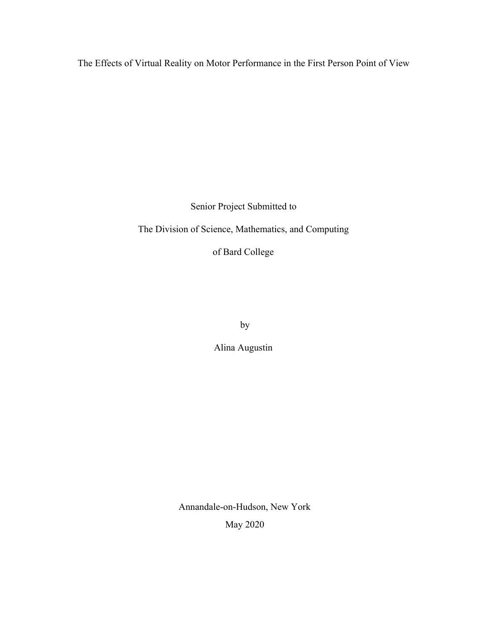The Effects of Virtual Reality on Motor Performance in the First Person Point of View

Senior Project Submitted to

The Division of Science, Mathematics, and Computing

of Bard College

by

Alina Augustin

 Annandale-on-Hudson, New York May 2020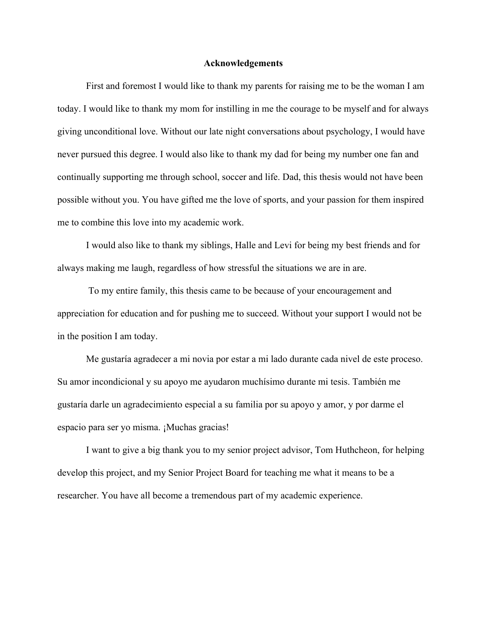#### **Acknowledgements**

First and foremost I would like to thank my parents for raising me to be the woman I am today. I would like to thank my mom for instilling in me the courage to be myself and for always giving unconditional love. Without our late night conversations about psychology, I would have never pursued this degree. I would also like to thank my dad for being my number one fan and continually supporting me through school, soccer and life. Dad, this thesis would not have been possible without you. You have gifted me the love of sports, and your passion for them inspired me to combine this love into my academic work.

I would also like to thank my siblings, Halle and Levi for being my best friends and for always making me laugh, regardless of how stressful the situations we are in are.

 To my entire family, this thesis came to be because of your encouragement and appreciation for education and for pushing me to succeed. Without your support I would not be in the position I am today.

Me gustaría agradecer a mi novia por estar a mi lado durante cada nivel de este proceso. Su amor incondicional y su apoyo me ayudaron muchísimo durante mi tesis. También me gustaría darle un agradecimiento especial a su familia por su apoyo y amor, y por darme el espacio para ser yo misma. ¡Muchas gracias!

I want to give a big thank you to my senior project advisor, Tom Huthcheon, for helping develop this project, and my Senior Project Board for teaching me what it means to be a researcher. You have all become a tremendous part of my academic experience.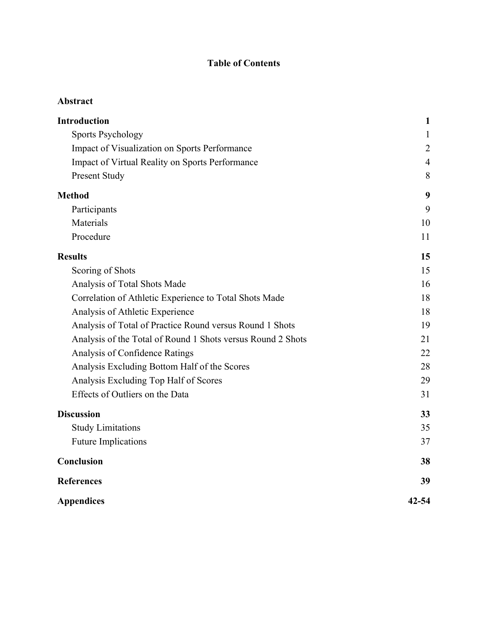## **Table of Contents**

### **[Abstract](#page-4-0)**

| <b>Introduction</b>                                         | $\mathbf{1}$   |
|-------------------------------------------------------------|----------------|
| Sports Psychology                                           | 1              |
| Impact of Visualization on Sports Performance               | $\overline{2}$ |
| Impact of Virtual Reality on Sports Performance             | 4              |
| <b>Present Study</b>                                        | 8              |
| <b>Method</b>                                               | 9              |
| Participants                                                | 9              |
| Materials                                                   | 10             |
| Procedure                                                   | 11             |
| <b>Results</b>                                              | 15             |
| Scoring of Shots                                            | 15             |
| Analysis of Total Shots Made                                | 16             |
| Correlation of Athletic Experience to Total Shots Made      | 18             |
| Analysis of Athletic Experience                             | 18             |
| Analysis of Total of Practice Round versus Round 1 Shots    | 19             |
| Analysis of the Total of Round 1 Shots versus Round 2 Shots | 21             |
| Analysis of Confidence Ratings                              | 22             |
| Analysis Excluding Bottom Half of the Scores                | 28             |
| Analysis Excluding Top Half of Scores                       | 29             |
| Effects of Outliers on the Data                             | 31             |
| <b>Discussion</b>                                           | 33             |
| <b>Study Limitations</b>                                    | 35             |
| <b>Future Implications</b>                                  | 37             |
| Conclusion                                                  | 38             |
| <b>References</b>                                           | 39             |
| <b>Appendices</b>                                           | $42 - 54$      |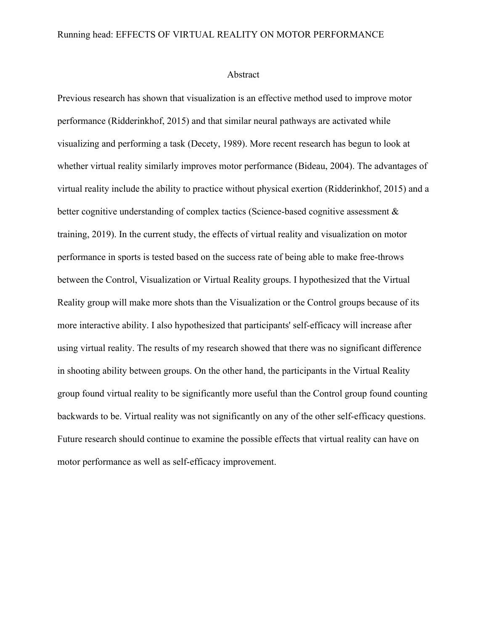#### Running head: EFFECTS OF VIRTUAL REALITY ON MOTOR PERFORMANCE

### Abstract

<span id="page-4-0"></span>Previous research has shown that visualization is an effective method used to improve motor performance (Ridderinkhof, 2015) and that similar neural pathways are activated while visualizing and performing a task (Decety, 1989). More recent research has begun to look at whether virtual reality similarly improves motor performance (Bideau, 2004). The advantages of virtual reality include the ability to practice without physical exertion (Ridderinkhof, 2015) and a better cognitive understanding of complex tactics (Science-based cognitive assessment & training, 2019). In the current study, the effects of virtual reality and visualization on motor performance in sports is tested based on the success rate of being able to make free-throws between the Control, Visualization or Virtual Reality groups. I hypothesized that the Virtual Reality group will make more shots than the Visualization or the Control groups because of its more interactive ability. I also hypothesized that participants' self-efficacy will increase after using virtual reality. The results of my research showed that there was no significant difference in shooting ability between groups. On the other hand, the participants in the Virtual Reality group found virtual reality to be significantly more useful than the Control group found counting backwards to be. Virtual reality was not significantly on any of the other self-efficacy questions. Future research should continue to examine the possible effects that virtual reality can have on motor performance as well as self-efficacy improvement.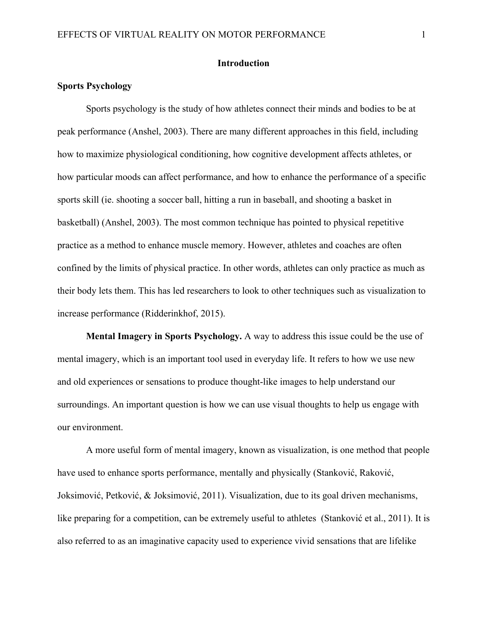### **Introduction**

### <span id="page-5-1"></span><span id="page-5-0"></span>**Sports Psychology**

Sports psychology is the study of how athletes connect their minds and bodies to be at peak performance (Anshel, 2003). There are many different approaches in this field, including how to maximize physiological conditioning, how cognitive development affects athletes, or how particular moods can affect performance, and how to enhance the performance of a specific sports skill (ie. shooting a soccer ball, hitting a run in baseball, and shooting a basket in basketball) (Anshel, 2003). The most common technique has pointed to physical repetitive practice as a method to enhance muscle memory. However, athletes and coaches are often confined by the limits of physical practice. In other words, athletes can only practice as much as their body lets them. This has led researchers to look to other techniques such as visualization to increase performance (Ridderinkhof, 2015).

**Mental Imagery in Sports Psychology.** A way to address this issue could be the use of mental imagery, which is an important tool used in everyday life. It refers to how we use new and old experiences or sensations to produce thought-like images to help understand our surroundings. An important question is how we can use visual thoughts to help us engage with our environment.

A more useful form of mental imagery, known as visualization, is one method that people have used to enhance sports performance, mentally and physically (Stanković, Raković, Joksimović, Petković, & Joksimović, 2011). Visualization, due to its goal driven mechanisms, like preparing for a competition, can be extremely useful to athletes (Stanković et al., 2011). It is also referred to as an imaginative capacity used to experience vivid sensations that are lifelike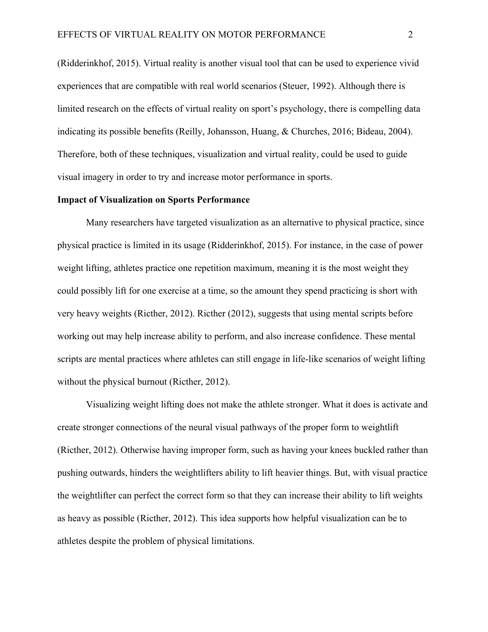(Ridderinkhof, 2015). Virtual reality is another visual tool that can be used to experience vivid experiences that are compatible with real world scenarios (Steuer, 1992). Although there is limited research on the effects of virtual reality on sport's psychology, there is compelling data indicating its possible benefits (Reilly, Johansson, Huang, & Churches, 2016; Bideau, 2004). Therefore, both of these techniques, visualization and virtual reality, could be used to guide visual imagery in order to try and increase motor performance in sports.

### <span id="page-6-0"></span>**Impact of Visualization on Sports Performance**

Many researchers have targeted visualization as an alternative to physical practice, since physical practice is limited in its usage (Ridderinkhof, 2015). For instance, in the case of power weight lifting, athletes practice one repetition maximum, meaning it is the most weight they could possibly lift for one exercise at a time, so the amount they spend practicing is short with very heavy weights (Ricther, 2012). Ricther (2012), suggests that using mental scripts before working out may help increase ability to perform, and also increase confidence. These mental scripts are mental practices where athletes can still engage in life-like scenarios of weight lifting without the physical burnout (Ricther, 2012).

Visualizing weight lifting does not make the athlete stronger. What it does is activate and create stronger connections of the neural visual pathways of the proper form to weightlift (Ricther, 2012). Otherwise having improper form, such as having your knees buckled rather than pushing outwards, hinders the weightlifters ability to lift heavier things. But, with visual practice the weightlifter can perfect the correct form so that they can increase their ability to lift weights as heavy as possible (Ricther, 2012). This idea supports how helpful visualization can be to athletes despite the problem of physical limitations.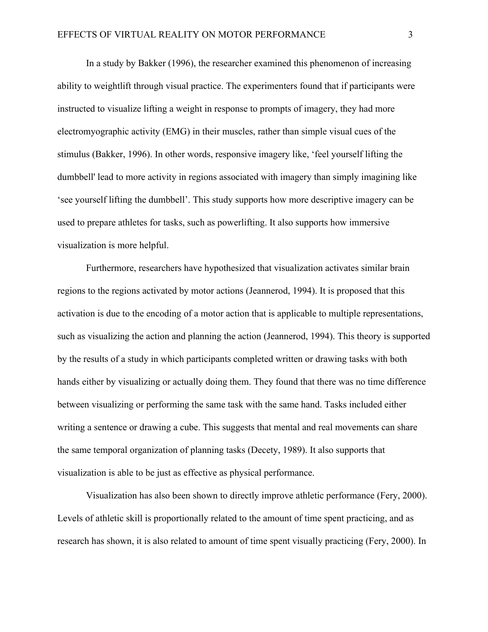In a study by Bakker (1996), the researcher examined this phenomenon of increasing ability to weightlift through visual practice. The experimenters found that if participants were instructed to visualize lifting a weight in response to prompts of imagery, they had more electromyographic activity (EMG) in their muscles, rather than simple visual cues of the stimulus (Bakker, 1996). In other words, responsive imagery like, 'feel yourself lifting the dumbbell' lead to more activity in regions associated with imagery than simply imagining like 'see yourself lifting the dumbbell'. This study supports how more descriptive imagery can be used to prepare athletes for tasks, such as powerlifting. It also supports how immersive visualization is more helpful.

Furthermore, researchers have hypothesized that visualization activates similar brain regions to the regions activated by motor actions (Jeannerod, 1994). It is proposed that this activation is due to the encoding of a motor action that is applicable to multiple representations, such as visualizing the action and planning the action (Jeannerod, 1994). This theory is supported by the results of a study in which participants completed written or drawing tasks with both hands either by visualizing or actually doing them. They found that there was no time difference between visualizing or performing the same task with the same hand. Tasks included either writing a sentence or drawing a cube. This suggests that mental and real movements can share the same temporal organization of planning tasks (Decety, 1989). It also supports that visualization is able to be just as effective as physical performance.

Visualization has also been shown to directly improve athletic performance (Fery, 2000). Levels of athletic skill is proportionally related to the amount of time spent practicing, and as research has shown, it is also related to amount of time spent visually practicing (Fery, 2000). In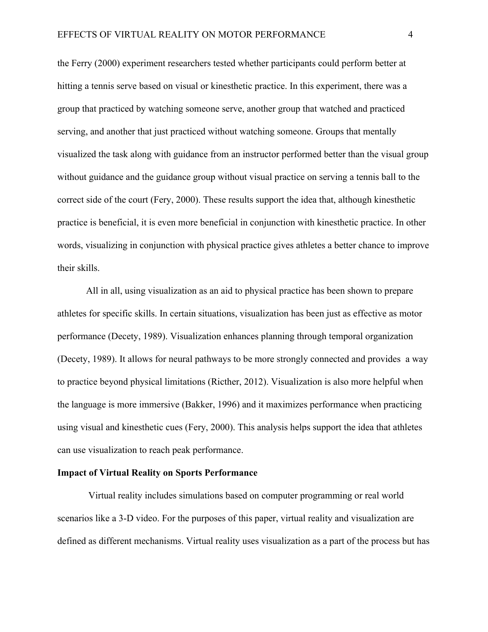the Ferry (2000) experiment researchers tested whether participants could perform better at hitting a tennis serve based on visual or kinesthetic practice. In this experiment, there was a group that practiced by watching someone serve, another group that watched and practiced serving, and another that just practiced without watching someone. Groups that mentally visualized the task along with guidance from an instructor performed better than the visual group without guidance and the guidance group without visual practice on serving a tennis ball to the correct side of the court (Fery, 2000). These results support the idea that, although kinesthetic practice is beneficial, it is even more beneficial in conjunction with kinesthetic practice. In other words, visualizing in conjunction with physical practice gives athletes a better chance to improve their skills.

All in all, using visualization as an aid to physical practice has been shown to prepare athletes for specific skills. In certain situations, visualization has been just as effective as motor performance (Decety, 1989). Visualization enhances planning through temporal organization (Decety, 1989). It allows for neural pathways to be more strongly connected and provides a way to practice beyond physical limitations (Ricther, 2012). Visualization is also more helpful when the language is more immersive (Bakker, 1996) and it maximizes performance when practicing using visual and kinesthetic cues (Fery, 2000). This analysis helps support the idea that athletes can use visualization to reach peak performance.

### <span id="page-8-0"></span>**Impact of Virtual Reality on Sports Performance**

 Virtual reality includes simulations based on computer programming or real world scenarios like a 3-D video. For the purposes of this paper, virtual reality and visualization are defined as different mechanisms. Virtual reality uses visualization as a part of the process but has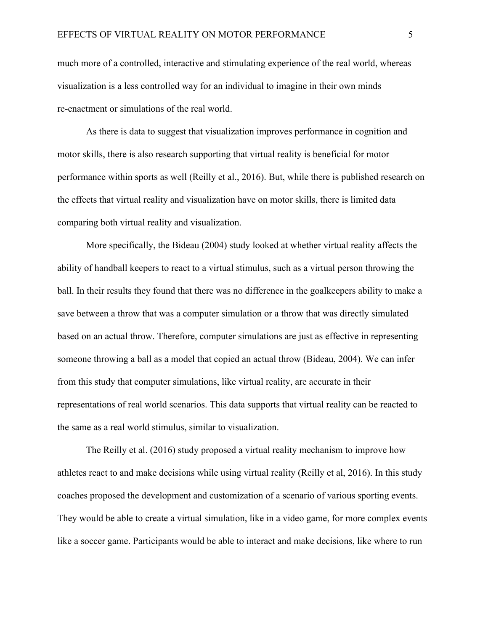much more of a controlled, interactive and stimulating experience of the real world, whereas visualization is a less controlled way for an individual to imagine in their own minds re-enactment or simulations of the real world.

As there is data to suggest that visualization improves performance in cognition and motor skills, there is also research supporting that virtual reality is beneficial for motor performance within sports as well (Reilly et al., 2016). But, while there is published research on the effects that virtual reality and visualization have on motor skills, there is limited data comparing both virtual reality and visualization.

More specifically, the Bideau (2004) study looked at whether virtual reality affects the ability of handball keepers to react to a virtual stimulus, such as a virtual person throwing the ball. In their results they found that there was no difference in the goalkeepers ability to make a save between a throw that was a computer simulation or a throw that was directly simulated based on an actual throw. Therefore, computer simulations are just as effective in representing someone throwing a ball as a model that copied an actual throw (Bideau, 2004). We can infer from this study that computer simulations, like virtual reality, are accurate in their representations of real world scenarios. This data supports that virtual reality can be reacted to the same as a real world stimulus, similar to visualization.

The Reilly et al. (2016) study proposed a virtual reality mechanism to improve how athletes react to and make decisions while using virtual reality (Reilly et al, 2016). In this study coaches proposed the development and customization of a scenario of various sporting events. They would be able to create a virtual simulation, like in a video game, for more complex events like a soccer game. Participants would be able to interact and make decisions, like where to run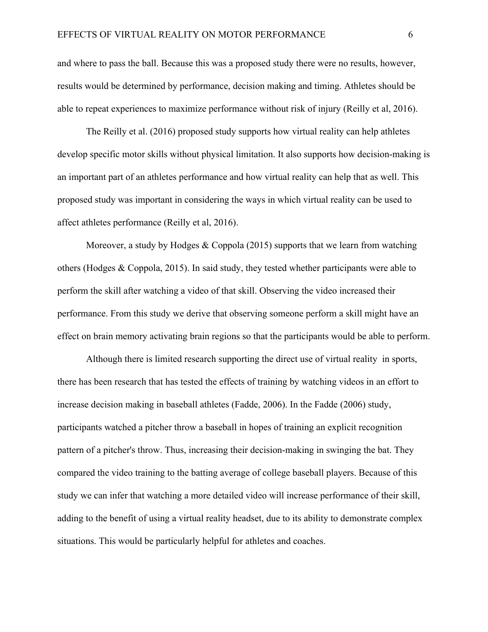and where to pass the ball. Because this was a proposed study there were no results, however, results would be determined by performance, decision making and timing. Athletes should be able to repeat experiences to maximize performance without risk of injury (Reilly et al, 2016).

The Reilly et al. (2016) proposed study supports how virtual reality can help athletes develop specific motor skills without physical limitation. It also supports how decision-making is an important part of an athletes performance and how virtual reality can help that as well. This proposed study was important in considering the ways in which virtual reality can be used to affect athletes performance (Reilly et al, 2016).

Moreover, a study by Hodges & Coppola (2015) supports that we learn from watching others (Hodges & Coppola, 2015). In said study, they tested whether participants were able to perform the skill after watching a video of that skill. Observing the video increased their performance. From this study we derive that observing someone perform a skill might have an effect on brain memory activating brain regions so that the participants would be able to perform.

Although there is limited research supporting the direct use of virtual reality in sports, there has been research that has tested the effects of training by watching videos in an effort to increase decision making in baseball athletes (Fadde, 2006). In the Fadde (2006) study, participants watched a pitcher throw a baseball in hopes of training an explicit recognition pattern of a pitcher's throw. Thus, increasing their decision-making in swinging the bat. They compared the video training to the batting average of college baseball players. Because of this study we can infer that watching a more detailed video will increase performance of their skill, adding to the benefit of using a virtual reality headset, due to its ability to demonstrate complex situations. This would be particularly helpful for athletes and coaches.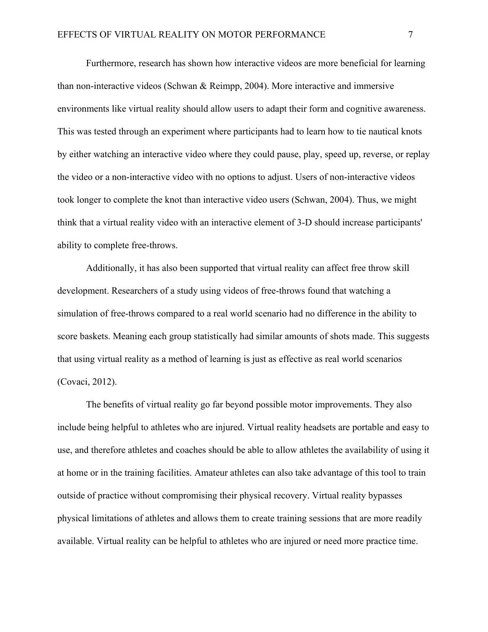Furthermore, research has shown how interactive videos are more beneficial for learning than non-interactive videos (Schwan & Reimpp, 2004). More interactive and immersive environments like virtual reality should allow users to adapt their form and cognitive awareness. This was tested through an experiment where participants had to learn how to tie nautical knots by either watching an interactive video where they could pause, play, speed up, reverse, or replay the video or a non-interactive video with no options to adjust. Users of non-interactive videos took longer to complete the knot than interactive video users (Schwan, 2004). Thus, we might think that a virtual reality video with an interactive element of 3-D should increase participants' ability to complete free-throws.

Additionally, it has also been supported that virtual reality can affect free throw skill development. Researchers of a study using videos of free-throws found that watching a simulation of free-throws compared to a real world scenario had no difference in the ability to score baskets. Meaning each group statistically had similar amounts of shots made. This suggests that using virtual reality as a method of learning is just as effective as real world scenarios (Covaci, 2012).

The benefits of virtual reality go far beyond possible motor improvements. They also include being helpful to athletes who are injured. Virtual reality headsets are portable and easy to use, and therefore athletes and coaches should be able to allow athletes the availability of using it at home or in the training facilities. Amateur athletes can also take advantage of this tool to train outside of practice without compromising their physical recovery. Virtual reality bypasses physical limitations of athletes and allows them to create training sessions that are more readily available. Virtual reality can be helpful to athletes who are injured or need more practice time.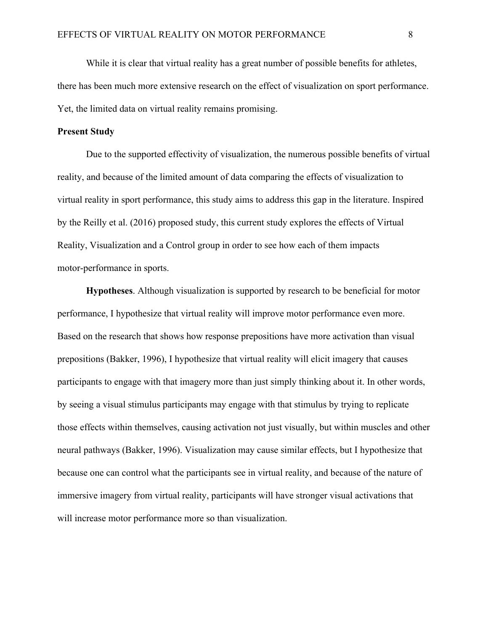While it is clear that virtual reality has a great number of possible benefits for athletes, there has been much more extensive research on the effect of visualization on sport performance. Yet, the limited data on virtual reality remains promising.

### <span id="page-12-0"></span>**Present Study**

Due to the supported effectivity of visualization, the numerous possible benefits of virtual reality, and because of the limited amount of data comparing the effects of visualization to virtual reality in sport performance, this study aims to address this gap in the literature. Inspired by the Reilly et al. (2016) proposed study, this current study explores the effects of Virtual Reality, Visualization and a Control group in order to see how each of them impacts motor-performance in sports.

**Hypotheses**. Although visualization is supported by research to be beneficial for motor performance, I hypothesize that virtual reality will improve motor performance even more. Based on the research that shows how response prepositions have more activation than visual prepositions (Bakker, 1996), I hypothesize that virtual reality will elicit imagery that causes participants to engage with that imagery more than just simply thinking about it. In other words, by seeing a visual stimulus participants may engage with that stimulus by trying to replicate those effects within themselves, causing activation not just visually, but within muscles and other neural pathways (Bakker, 1996). Visualization may cause similar effects, but I hypothesize that because one can control what the participants see in virtual reality, and because of the nature of immersive imagery from virtual reality, participants will have stronger visual activations that will increase motor performance more so than visualization.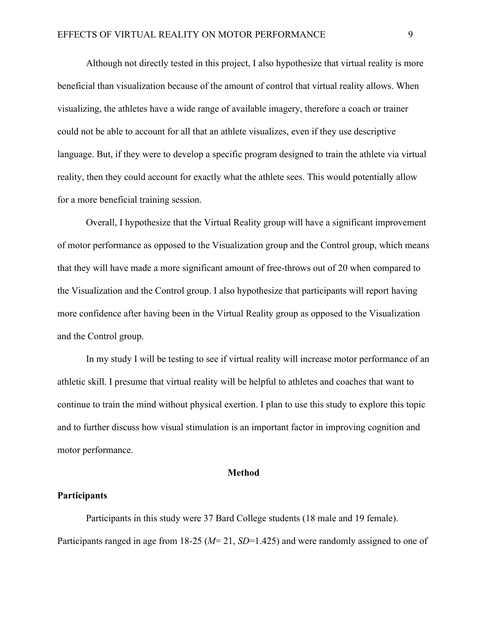Although not directly tested in this project, I also hypothesize that virtual reality is more beneficial than visualization because of the amount of control that virtual reality allows. When visualizing, the athletes have a wide range of available imagery, therefore a coach or trainer could not be able to account for all that an athlete visualizes, even if they use descriptive language. But, if they were to develop a specific program designed to train the athlete via virtual reality, then they could account for exactly what the athlete sees. This would potentially allow for a more beneficial training session.

Overall, I hypothesize that the Virtual Reality group will have a significant improvement of motor performance as opposed to the Visualization group and the Control group, which means that they will have made a more significant amount of free-throws out of 20 when compared to the Visualization and the Control group. I also hypothesize that participants will report having more confidence after having been in the Virtual Reality group as opposed to the Visualization and the Control group.

In my study I will be testing to see if virtual reality will increase motor performance of an athletic skill. I presume that virtual reality will be helpful to athletes and coaches that want to continue to train the mind without physical exertion. I plan to use this study to explore this topic and to further discuss how visual stimulation is an important factor in improving cognition and motor performance.

### **Method**

#### <span id="page-13-1"></span><span id="page-13-0"></span>**Participants**

Participants in this study were 37 Bard College students (18 male and 19 female). Participants ranged in age from 18-25 (*M*= 21, *SD*=1.425) and were randomly assigned to one of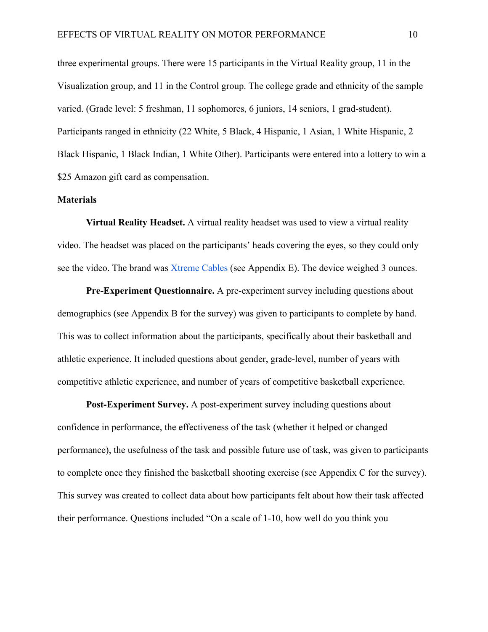three experimental groups. There were 15 participants in the Virtual Reality group, 11 in the Visualization group, and 11 in the Control group. The college grade and ethnicity of the sample varied. (Grade level: 5 freshman, 11 sophomores, 6 juniors, 14 seniors, 1 grad-student). Participants ranged in ethnicity (22 White, 5 Black, 4 Hispanic, 1 Asian, 1 White Hispanic, 2 Black Hispanic, 1 Black Indian, 1 White Other). Participants were entered into a lottery to win a \$25 Amazon gift card as compensation.

#### <span id="page-14-0"></span>**Materials**

**Virtual Reality Headset.** A virtual reality headset was used to view a virtual reality video. The headset was placed on the participants' heads covering the eyes, so they could only see the video. The brand was [Xtreme Cables](https://www.amazon.com/Xtreme-Cables-Virtual-Reality-Viewer/dp/B01H4KKTM2) (see Appendix E). The device weighed 3 ounces.

**Pre-Experiment Questionnaire.** A pre-experiment survey including questions about demographics (see Appendix B for the survey) was given to participants to complete by hand. This was to collect information about the participants, specifically about their basketball and athletic experience. It included questions about gender, grade-level, number of years with competitive athletic experience, and number of years of competitive basketball experience.

**Post-Experiment Survey.** A post-experiment survey including questions about confidence in performance, the effectiveness of the task (whether it helped or changed performance), the usefulness of the task and possible future use of task, was given to participants to complete once they finished the basketball shooting exercise (see Appendix C for the survey). This survey was created to collect data about how participants felt about how their task affected their performance. Questions included "On a scale of 1-10, how well do you think you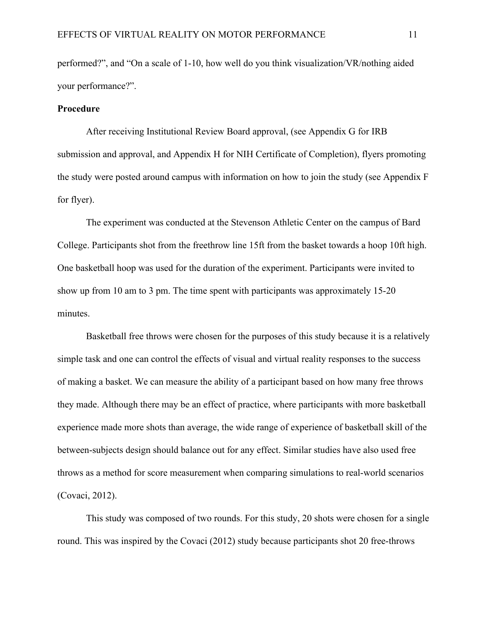performed?", and "On a scale of 1-10, how well do you think visualization/VR/nothing aided your performance?".

#### <span id="page-15-0"></span>**Procedure**

After receiving Institutional Review Board approval, (see Appendix G for IRB submission and approval, and Appendix H for NIH Certificate of Completion), flyers promoting the study were posted around campus with information on how to join the study (see Appendix F for flyer).

The experiment was conducted at the Stevenson Athletic Center on the campus of Bard College. Participants shot from the freethrow line 15ft from the basket towards a hoop 10ft high. One basketball hoop was used for the duration of the experiment. Participants were invited to show up from 10 am to 3 pm. The time spent with participants was approximately 15-20 minutes.

Basketball free throws were chosen for the purposes of this study because it is a relatively simple task and one can control the effects of visual and virtual reality responses to the success of making a basket. We can measure the ability of a participant based on how many free throws they made. Although there may be an effect of practice, where participants with more basketball experience made more shots than average, the wide range of experience of basketball skill of the between-subjects design should balance out for any effect. Similar studies have also used free throws as a method for score measurement when comparing simulations to real-world scenarios (Covaci, 2012).

This study was composed of two rounds. For this study, 20 shots were chosen for a single round. This was inspired by the Covaci (2012) study because participants shot 20 free-throws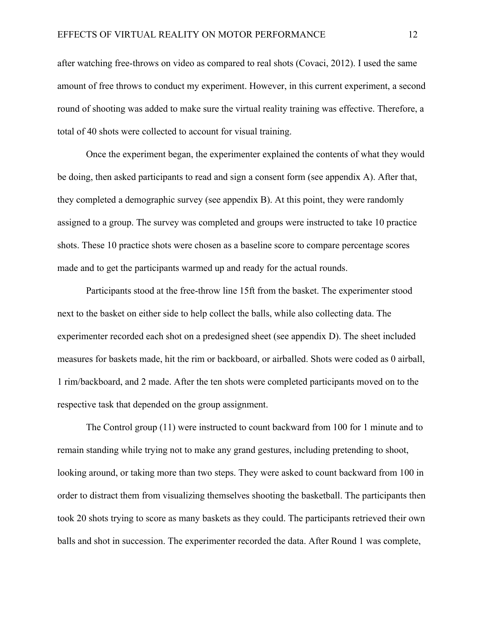after watching free-throws on video as compared to real shots (Covaci, 2012). I used the same amount of free throws to conduct my experiment. However, in this current experiment, a second round of shooting was added to make sure the virtual reality training was effective. Therefore, a total of 40 shots were collected to account for visual training.

Once the experiment began, the experimenter explained the contents of what they would be doing, then asked participants to read and sign a consent form (see appendix A). After that, they completed a demographic survey (see appendix B). At this point, they were randomly assigned to a group. The survey was completed and groups were instructed to take 10 practice shots. These 10 practice shots were chosen as a baseline score to compare percentage scores made and to get the participants warmed up and ready for the actual rounds.

Participants stood at the free-throw line 15ft from the basket. The experimenter stood next to the basket on either side to help collect the balls, while also collecting data. The experimenter recorded each shot on a predesigned sheet (see appendix D). The sheet included measures for baskets made, hit the rim or backboard, or airballed. Shots were coded as 0 airball, 1 rim/backboard, and 2 made. After the ten shots were completed participants moved on to the respective task that depended on the group assignment.

The Control group (11) were instructed to count backward from 100 for 1 minute and to remain standing while trying not to make any grand gestures, including pretending to shoot, looking around, or taking more than two steps. They were asked to count backward from 100 in order to distract them from visualizing themselves shooting the basketball. The participants then took 20 shots trying to score as many baskets as they could. The participants retrieved their own balls and shot in succession. The experimenter recorded the data. After Round 1 was complete,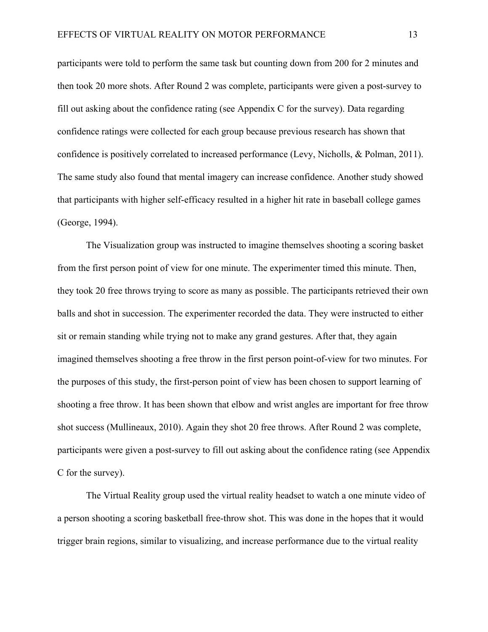participants were told to perform the same task but counting down from 200 for 2 minutes and then took 20 more shots. After Round 2 was complete, participants were given a post-survey to fill out asking about the confidence rating (see Appendix C for the survey). Data regarding confidence ratings were collected for each group because previous research has shown that confidence is positively correlated to increased performance (Levy, Nicholls, & Polman, 2011). The same study also found that mental imagery can increase confidence. Another study showed that participants with higher self-efficacy resulted in a higher hit rate in baseball college games (George, 1994).

The Visualization group was instructed to imagine themselves shooting a scoring basket from the first person point of view for one minute. The experimenter timed this minute. Then, they took 20 free throws trying to score as many as possible. The participants retrieved their own balls and shot in succession. The experimenter recorded the data. They were instructed to either sit or remain standing while trying not to make any grand gestures. After that, they again imagined themselves shooting a free throw in the first person point-of-view for two minutes. For the purposes of this study, the first-person point of view has been chosen to support learning of shooting a free throw. It has been shown that elbow and wrist angles are important for free throw shot success (Mullineaux, 2010). Again they shot 20 free throws. After Round 2 was complete, participants were given a post-survey to fill out asking about the confidence rating (see Appendix C for the survey).

The Virtual Reality group used the virtual reality headset to watch a one minute video of a person shooting a scoring basketball free-throw shot. This was done in the hopes that it would trigger brain regions, similar to visualizing, and increase performance due to the virtual reality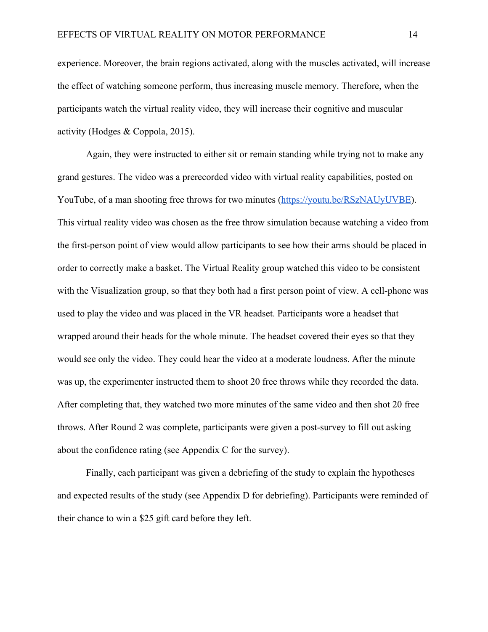experience. Moreover, the brain regions activated, along with the muscles activated, will increase the effect of watching someone perform, thus increasing muscle memory. Therefore, when the participants watch the virtual reality video, they will increase their cognitive and muscular activity (Hodges & Coppola, 2015).

Again, they were instructed to either sit or remain standing while trying not to make any grand gestures. The video was a prerecorded video with virtual reality capabilities, posted on YouTube, of a man shooting free throws for two minutes ([https://youtu.be/RSzNAUyUVBE\)](https://youtu.be/RSzNAUyUVBE). This virtual reality video was chosen as the free throw simulation because watching a video from the first-person point of view would allow participants to see how their arms should be placed in order to correctly make a basket. The Virtual Reality group watched this video to be consistent with the Visualization group, so that they both had a first person point of view. A cell-phone was used to play the video and was placed in the VR headset. Participants wore a headset that wrapped around their heads for the whole minute. The headset covered their eyes so that they would see only the video. They could hear the video at a moderate loudness. After the minute was up, the experimenter instructed them to shoot 20 free throws while they recorded the data. After completing that, they watched two more minutes of the same video and then shot 20 free throws. After Round 2 was complete, participants were given a post-survey to fill out asking about the confidence rating (see Appendix C for the survey).

Finally, each participant was given a debriefing of the study to explain the hypotheses and expected results of the study (see Appendix D for debriefing). Participants were reminded of their chance to win a \$25 gift card before they left.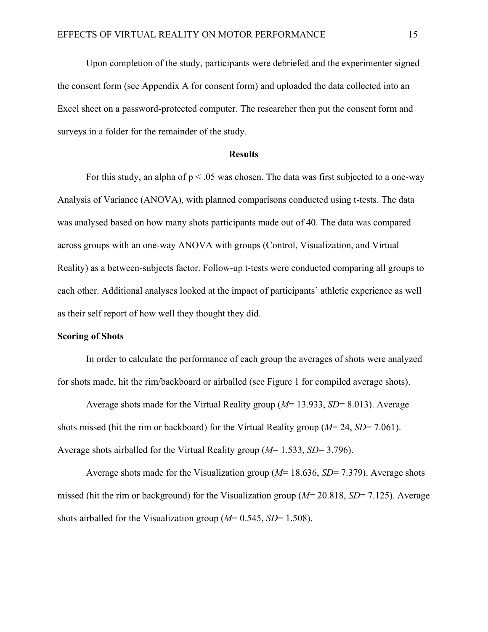Upon completion of the study, participants were debriefed and the experimenter signed the consent form (see Appendix A for consent form) and uploaded the data collected into an Excel sheet on a password-protected computer. The researcher then put the consent form and surveys in a folder for the remainder of the study.

#### **Results**

<span id="page-19-0"></span>For this study, an alpha of  $p < 0.05$  was chosen. The data was first subjected to a one-way Analysis of Variance (ANOVA), with planned comparisons conducted using t-tests. The data was analysed based on how many shots participants made out of 40. The data was compared across groups with an one-way ANOVA with groups (Control, Visualization, and Virtual Reality) as a between-subjects factor. Follow-up t-tests were conducted comparing all groups to each other. Additional analyses looked at the impact of participants' athletic experience as well as their self report of how well they thought they did.

#### <span id="page-19-1"></span>**Scoring of Shots**

In order to calculate the performance of each group the averages of shots were analyzed for shots made, hit the rim/backboard or airballed (see Figure 1 for compiled average shots).

Average shots made for the Virtual Reality group (*M*= 13.933, *SD*= 8.013). Average shots missed (hit the rim or backboard) for the Virtual Reality group (*M*= 24, *SD*= 7.061). Average shots airballed for the Virtual Reality group (*M*= 1.533, *SD*= 3.796).

Average shots made for the Visualization group (*M*= 18.636, *SD*= 7.379). Average shots missed (hit the rim or background) for the Visualization group (*M*= 20.818, *SD*= 7.125). Average shots airballed for the Visualization group ( $M= 0.545$ , *SD*= 1.508).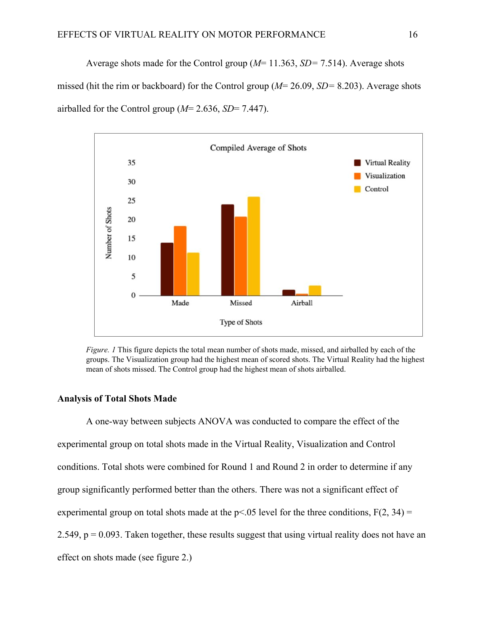Average shots made for the Control group (*M*= 11.363, *SD=* 7.514). Average shots missed (hit the rim or backboard) for the Control group (*M*= 26.09, *SD=* 8.203). Average shots airballed for the Control group (*M*= 2.636, *SD*= 7.447).



*Figure. 1* This figure depicts the total mean number of shots made, missed, and airballed by each of the groups. The Visualization group had the highest mean of scored shots. The Virtual Reality had the highest mean of shots missed. The Control group had the highest mean of shots airballed.

### <span id="page-20-0"></span>**Analysis of Total Shots Made**

A one-way between subjects ANOVA was conducted to compare the effect of the experimental group on total shots made in the Virtual Reality, Visualization and Control conditions. Total shots were combined for Round 1 and Round 2 in order to determine if any group significantly performed better than the others. There was not a significant effect of experimental group on total shots made at the  $p<0.05$  level for the three conditions,  $F(2, 34) =$ 2.549,  $p = 0.093$ . Taken together, these results suggest that using virtual reality does not have an effect on shots made (see figure 2.)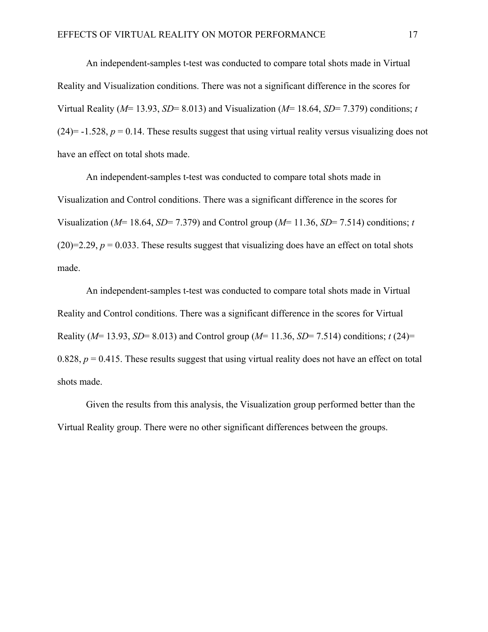An independent-samples t-test was conducted to compare total shots made in Virtual Reality and Visualization conditions. There was not a significant difference in the scores for Virtual Reality (*M*= 13.93, *SD*= 8.013) and Visualization (*M*= 18.64, *SD*= 7.379) conditions; *t*  $(24)$ = -1.528,  $p = 0.14$ . These results suggest that using virtual reality versus visualizing does not have an effect on total shots made.

An independent-samples t-test was conducted to compare total shots made in Visualization and Control conditions. There was a significant difference in the scores for Visualization ( $M=18.64$ ,  $SD=7.379$ ) and Control group ( $M=11.36$ ,  $SD=7.514$ ) conditions; *t*  $(20)=2.29, p=0.033$ . These results suggest that visualizing does have an effect on total shots made.

An independent-samples t-test was conducted to compare total shots made in Virtual Reality and Control conditions. There was a significant difference in the scores for Virtual Reality (*M*= 13.93, *SD*= 8.013) and Control group (*M*= 11.36, *SD*= 7.514) conditions; *t* (24)= 0.828,  $p = 0.415$ . These results suggest that using virtual reality does not have an effect on total shots made.

Given the results from this analysis, the Visualization group performed better than the Virtual Reality group. There were no other significant differences between the groups.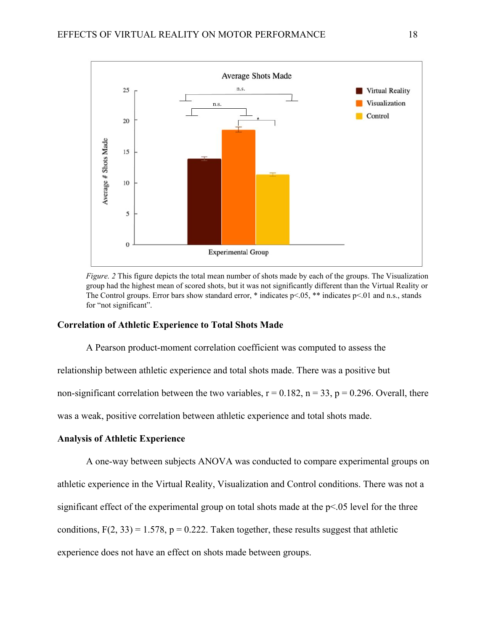

*Figure. 2* This figure depicts the total mean number of shots made by each of the groups. The Visualization group had the highest mean of scored shots, but it was not significantly different than the Virtual Reality or The Control groups. Error bars show standard error, \* indicates p<.05, \*\* indicates p<.01 and n.s., stands for "not significant".

### <span id="page-22-0"></span>**Correlation of Athletic Experience to Total Shots Made**

A Pearson product-moment correlation coefficient was computed to assess the

relationship between athletic experience and total shots made. There was a positive but

non-significant correlation between the two variables,  $r = 0.182$ ,  $n = 33$ ,  $p = 0.296$ . Overall, there

was a weak, positive correlation between athletic experience and total shots made.

#### <span id="page-22-1"></span>**Analysis of Athletic Experience**

A one-way between subjects ANOVA was conducted to compare experimental groups on athletic experience in the Virtual Reality, Visualization and Control conditions. There was not a significant effect of the experimental group on total shots made at the  $p<0.05$  level for the three conditions,  $F(2, 33) = 1.578$ ,  $p = 0.222$ . Taken together, these results suggest that athletic experience does not have an effect on shots made between groups.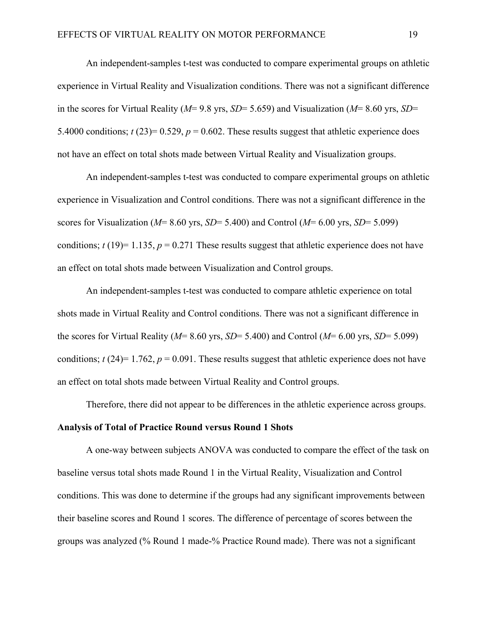An independent-samples t-test was conducted to compare experimental groups on athletic experience in Virtual Reality and Visualization conditions. There was not a significant difference in the scores for Virtual Reality (*M*= 9.8 yrs, *SD*= 5.659) and Visualization (*M*= 8.60 yrs, *SD*= 5.4000 conditions;  $t(23)=0.529$ ,  $p = 0.602$ . These results suggest that athletic experience does not have an effect on total shots made between Virtual Reality and Visualization groups.

An independent-samples t-test was conducted to compare experimental groups on athletic experience in Visualization and Control conditions. There was not a significant difference in the scores for Visualization (*M*= 8.60 yrs, *SD*= 5.400) and Control (*M*= 6.00 yrs, *SD*= 5.099) conditions;  $t(19)=1.135$ ,  $p=0.271$  These results suggest that athletic experience does not have an effect on total shots made between Visualization and Control groups.

An independent-samples t-test was conducted to compare athletic experience on total shots made in Virtual Reality and Control conditions. There was not a significant difference in the scores for Virtual Reality (*M*= 8.60 yrs, *SD*= 5.400) and Control (*M*= 6.00 yrs, *SD*= 5.099) conditions;  $t(24)=1.762$ ,  $p=0.091$ . These results suggest that athletic experience does not have an effect on total shots made between Virtual Reality and Control groups.

<span id="page-23-0"></span>Therefore, there did not appear to be differences in the athletic experience across groups. **Analysis of Total of Practice Round versus Round 1 Shots**

A one-way between subjects ANOVA was conducted to compare the effect of the task on baseline versus total shots made Round 1 in the Virtual Reality, Visualization and Control conditions. This was done to determine if the groups had any significant improvements between their baseline scores and Round 1 scores. The difference of percentage of scores between the groups was analyzed (% Round 1 made-% Practice Round made). There was not a significant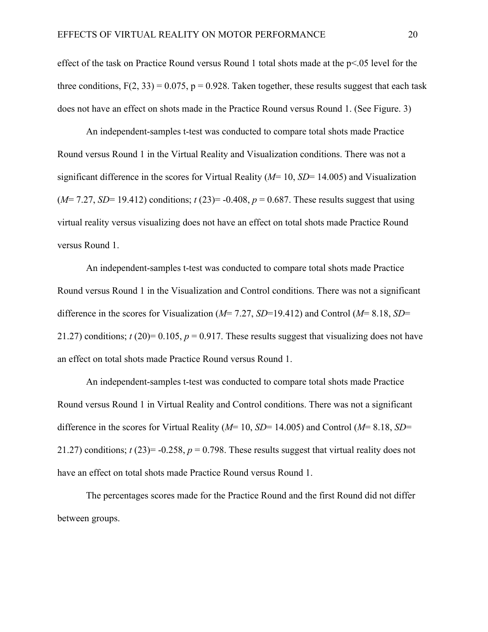effect of the task on Practice Round versus Round 1 total shots made at the  $p<0.05$  level for the three conditions,  $F(2, 33) = 0.075$ ,  $p = 0.928$ . Taken together, these results suggest that each task does not have an effect on shots made in the Practice Round versus Round 1. (See Figure. 3)

An independent-samples t-test was conducted to compare total shots made Practice Round versus Round 1 in the Virtual Reality and Visualization conditions. There was not a significant difference in the scores for Virtual Reality (*M*= 10, *SD*= 14.005) and Visualization (*M*= 7.27, *SD*= 19.412) conditions; *t* (23)= -0.408, *p* = 0.687. These results suggest that using virtual reality versus visualizing does not have an effect on total shots made Practice Round versus Round 1.

An independent-samples t-test was conducted to compare total shots made Practice Round versus Round 1 in the Visualization and Control conditions. There was not a significant difference in the scores for Visualization (*M*= 7.27, *SD*=19.412) and Control (*M*= 8.18, *SD*= 21.27) conditions;  $t(20)=0.105$ ,  $p = 0.917$ . These results suggest that visualizing does not have an effect on total shots made Practice Round versus Round 1.

An independent-samples t-test was conducted to compare total shots made Practice Round versus Round 1 in Virtual Reality and Control conditions. There was not a significant difference in the scores for Virtual Reality (*M*= 10, *SD*= 14.005) and Control (*M*= 8.18, *SD*= 21.27) conditions;  $t(23) = -0.258$ ,  $p = 0.798$ . These results suggest that virtual reality does not have an effect on total shots made Practice Round versus Round 1.

The percentages scores made for the Practice Round and the first Round did not differ between groups.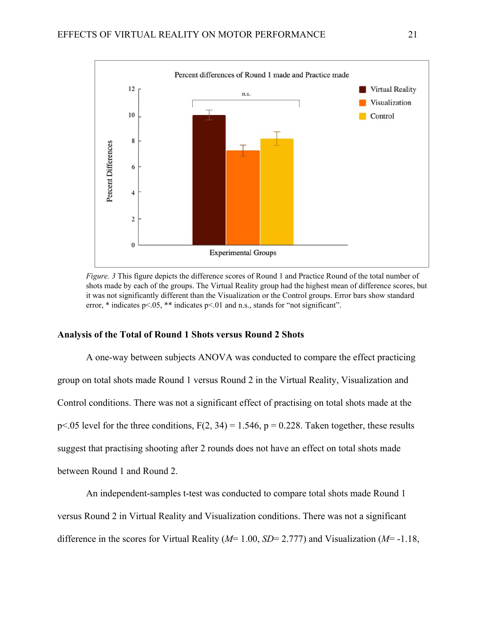

*Figure. 3* This figure depicts the difference scores of Round 1 and Practice Round of the total number of shots made by each of the groups. The Virtual Reality group had the highest mean of difference scores, but it was not significantly different than the Visualization or the Control groups. Error bars show standard error,  $*$  indicates p<.05,  $**$  indicates p<.01 and n.s., stands for "not significant".

#### <span id="page-25-0"></span>**Analysis of the Total of Round 1 Shots versus Round 2 Shots**

A one-way between subjects ANOVA was conducted to compare the effect practicing group on total shots made Round 1 versus Round 2 in the Virtual Reality, Visualization and Control conditions. There was not a significant effect of practising on total shots made at the  $p$ <.05 level for the three conditions,  $F(2, 34) = 1.546$ ,  $p = 0.228$ . Taken together, these results suggest that practising shooting after 2 rounds does not have an effect on total shots made between Round 1 and Round 2.

An independent-samples t-test was conducted to compare total shots made Round 1 versus Round 2 in Virtual Reality and Visualization conditions. There was not a significant difference in the scores for Virtual Reality (*M*= 1.00, *SD*= 2.777) and Visualization (*M*= -1.18,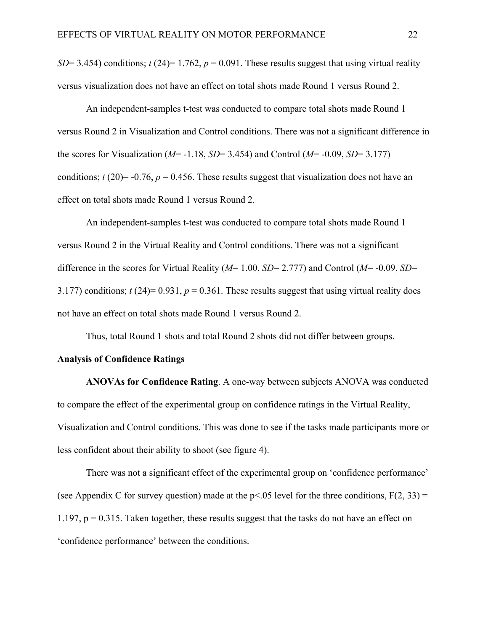*SD*= 3.454) conditions;  $t$  (24)= 1.762,  $p$  = 0.091. These results suggest that using virtual reality versus visualization does not have an effect on total shots made Round 1 versus Round 2.

An independent-samples t-test was conducted to compare total shots made Round 1 versus Round 2 in Visualization and Control conditions. There was not a significant difference in the scores for Visualization ( $M=$  -1.18,  $SD=$  3.454) and Control ( $M=$  -0.09,  $SD=$  3.177) conditions;  $t(20)$ = -0.76,  $p = 0.456$ . These results suggest that visualization does not have an effect on total shots made Round 1 versus Round 2.

An independent-samples t-test was conducted to compare total shots made Round 1 versus Round 2 in the Virtual Reality and Control conditions. There was not a significant difference in the scores for Virtual Reality (*M*= 1.00, *SD*= 2.777) and Control (*M*= -0.09, *SD*= 3.177) conditions;  $t(24)=0.931$ ,  $p = 0.361$ . These results suggest that using virtual reality does not have an effect on total shots made Round 1 versus Round 2.

Thus, total Round 1 shots and total Round 2 shots did not differ between groups.

#### <span id="page-26-0"></span>**Analysis of Confidence Ratings**

**ANOVAs for Confidence Rating**. A one-way between subjects ANOVA was conducted to compare the effect of the experimental group on confidence ratings in the Virtual Reality, Visualization and Control conditions. This was done to see if the tasks made participants more or less confident about their ability to shoot (see figure 4).

There was not a significant effect of the experimental group on 'confidence performance' (see Appendix C for survey question) made at the  $p<0.05$  level for the three conditions,  $F(2, 33) =$ 1.197,  $p = 0.315$ . Taken together, these results suggest that the tasks do not have an effect on 'confidence performance' between the conditions.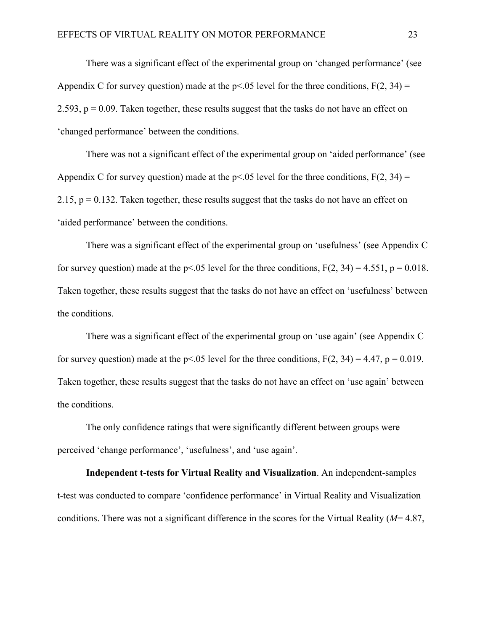There was a significant effect of the experimental group on 'changed performance' (see Appendix C for survey question) made at the  $p<0.05$  level for the three conditions,  $F(2, 34) =$ 2.593,  $p = 0.09$ . Taken together, these results suggest that the tasks do not have an effect on 'changed performance' between the conditions.

There was not a significant effect of the experimental group on 'aided performance' (see Appendix C for survey question) made at the p<.05 level for the three conditions,  $F(2, 34) =$ 2.15, p = 0.132. Taken together, these results suggest that the tasks do not have an effect on 'aided performance' between the conditions.

There was a significant effect of the experimental group on 'usefulness' (see Appendix C for survey question) made at the p<.05 level for the three conditions,  $F(2, 34) = 4.551$ , p = 0.018. Taken together, these results suggest that the tasks do not have an effect on 'usefulness' between the conditions.

There was a significant effect of the experimental group on 'use again' (see Appendix C for survey question) made at the p<.05 level for the three conditions,  $F(2, 34) = 4.47$ ,  $p = 0.019$ . Taken together, these results suggest that the tasks do not have an effect on 'use again' between the conditions.

The only confidence ratings that were significantly different between groups were perceived 'change performance', 'usefulness', and 'use again'.

**Independent t-tests for Virtual Reality and Visualization**. An independent-samples t-test was conducted to compare 'confidence performance' in Virtual Reality and Visualization conditions. There was not a significant difference in the scores for the Virtual Reality (*M*= 4.87,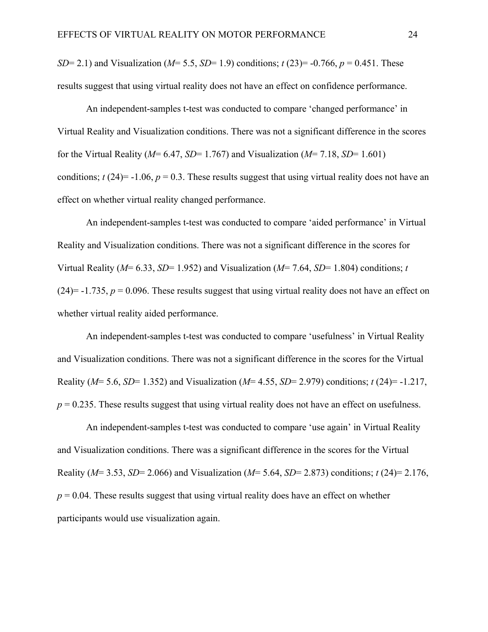*SD*= 2.1) and Visualization (*M*= 5.5, *SD*= 1.9) conditions;  $t$  (23)= -0.766, *p* = 0.451. These results suggest that using virtual reality does not have an effect on confidence performance.

An independent-samples t-test was conducted to compare 'changed performance' in Virtual Reality and Visualization conditions. There was not a significant difference in the scores for the Virtual Reality (*M*= 6.47, *SD*= 1.767) and Visualization (*M*= 7.18, *SD*= 1.601) conditions;  $t(24)$ = -1.06,  $p = 0.3$ . These results suggest that using virtual reality does not have an effect on whether virtual reality changed performance.

An independent-samples t-test was conducted to compare 'aided performance' in Virtual Reality and Visualization conditions. There was not a significant difference in the scores for Virtual Reality (*M*= 6.33, *SD*= 1.952) and Visualization (*M*= 7.64, *SD*= 1.804) conditions; *t*  $(24)$ = -1.735,  $p = 0.096$ . These results suggest that using virtual reality does not have an effect on whether virtual reality aided performance.

An independent-samples t-test was conducted to compare 'usefulness' in Virtual Reality and Visualization conditions. There was not a significant difference in the scores for the Virtual Reality (*M*= 5.6, *SD*= 1.352) and Visualization (*M*= 4.55, *SD*= 2.979) conditions; *t* (24)= -1.217,  $p = 0.235$ . These results suggest that using virtual reality does not have an effect on usefulness.

An independent-samples t-test was conducted to compare 'use again' in Virtual Reality and Visualization conditions. There was a significant difference in the scores for the Virtual Reality (*M*= 3.53, *SD*= 2.066) and Visualization (*M*= 5.64, *SD*= 2.873) conditions; *t* (24)= 2.176,  $p = 0.04$ . These results suggest that using virtual reality does have an effect on whether participants would use visualization again.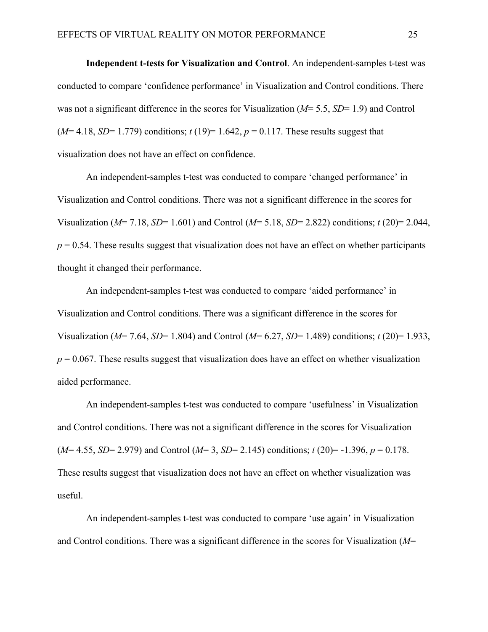**Independent t-tests for Visualization and Control**. An independent-samples t-test was conducted to compare 'confidence performance' in Visualization and Control conditions. There was not a significant difference in the scores for Visualization (*M*= 5.5, *SD*= 1.9) and Control (*M*= 4.18, *SD*= 1.779) conditions; *t* (19)= 1.642, *p* = 0.117. These results suggest that visualization does not have an effect on confidence.

An independent-samples t-test was conducted to compare 'changed performance' in Visualization and Control conditions. There was not a significant difference in the scores for Visualization (*M*= 7.18, *SD*= 1.601) and Control (*M*= 5.18, *SD*= 2.822) conditions; *t* (20)= 2.044,  $p = 0.54$ . These results suggest that visualization does not have an effect on whether participants thought it changed their performance.

An independent-samples t-test was conducted to compare 'aided performance' in Visualization and Control conditions. There was a significant difference in the scores for Visualization (*M*= 7.64, *SD*= 1.804) and Control (*M*= 6.27, *SD*= 1.489) conditions; *t* (20)= 1.933,  $p = 0.067$ . These results suggest that visualization does have an effect on whether visualization aided performance.

An independent-samples t-test was conducted to compare 'usefulness' in Visualization and Control conditions. There was not a significant difference in the scores for Visualization (*M*= 4.55, *SD*= 2.979) and Control (*M*= 3, *SD*= 2.145) conditions; *t* (20)= -1.396, *p* = 0.178. These results suggest that visualization does not have an effect on whether visualization was useful.

An independent-samples t-test was conducted to compare 'use again' in Visualization and Control conditions. There was a significant difference in the scores for Visualization (*M*=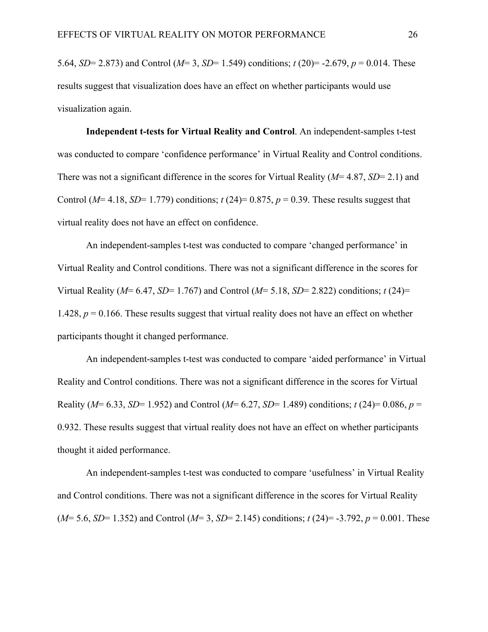5.64, *SD*= 2.873) and Control (*M*= 3, *SD*= 1.549) conditions; *t* (20)= -2.679, *p* = 0.014. These results suggest that visualization does have an effect on whether participants would use visualization again.

**Independent t-tests for Virtual Reality and Control**. An independent-samples t-test was conducted to compare 'confidence performance' in Virtual Reality and Control conditions. There was not a significant difference in the scores for Virtual Reality (*M*= 4.87, *SD*= 2.1) and Control ( $M=4.18$ ,  $SD=1.779$ ) conditions;  $t(24)=0.875$ ,  $p=0.39$ . These results suggest that virtual reality does not have an effect on confidence.

An independent-samples t-test was conducted to compare 'changed performance' in Virtual Reality and Control conditions. There was not a significant difference in the scores for Virtual Reality (*M*= 6.47, *SD*= 1.767) and Control (*M*= 5.18, *SD*= 2.822) conditions; *t* (24)= 1.428,  $p = 0.166$ . These results suggest that virtual reality does not have an effect on whether participants thought it changed performance.

An independent-samples t-test was conducted to compare 'aided performance' in Virtual Reality and Control conditions. There was not a significant difference in the scores for Virtual Reality (*M*= 6.33, *SD*= 1.952) and Control (*M*= 6.27, *SD*= 1.489) conditions; *t* (24)= 0.086, *p* = 0.932. These results suggest that virtual reality does not have an effect on whether participants thought it aided performance.

An independent-samples t-test was conducted to compare 'usefulness' in Virtual Reality and Control conditions. There was not a significant difference in the scores for Virtual Reality ( $M=5.6$ , *SD*= 1.352) and Control ( $M=3$ , *SD*= 2.145) conditions; *t* (24)= -3.792, *p* = 0.001. These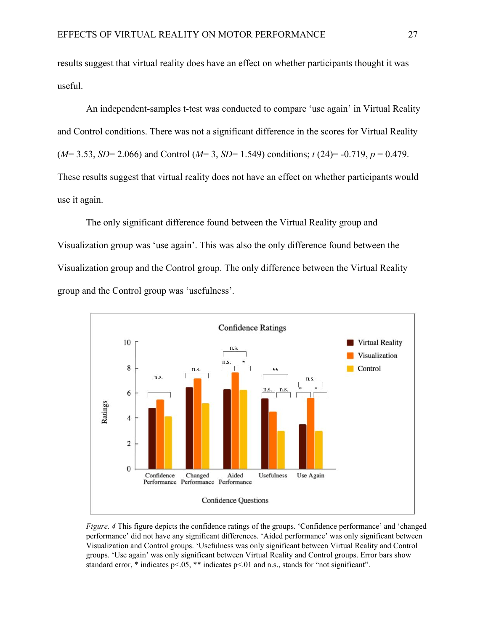results suggest that virtual reality does have an effect on whether participants thought it was useful.

An independent-samples t-test was conducted to compare 'use again' in Virtual Reality and Control conditions. There was not a significant difference in the scores for Virtual Reality (*M*= 3.53, *SD*= 2.066) and Control (*M*= 3, *SD*= 1.549) conditions; *t* (24)= -0.719, *p* = 0.479. These results suggest that virtual reality does not have an effect on whether participants would use it again.

The only significant difference found between the Virtual Reality group and Visualization group was 'use again'. This was also the only difference found between the Visualization group and the Control group. The only difference between the Virtual Reality group and the Control group was 'usefulness'.



*Figure. 4* This figure depicts the confidence ratings of the groups. 'Confidence performance' and 'changed performance' did not have any significant differences. 'Aided performance' was only significant between Visualization and Control groups. 'Usefulness was only significant between Virtual Reality and Control groups. 'Use again' was only significant between Virtual Reality and Control groups. Error bars show standard error, \* indicates p<.05, \*\* indicates p<.01 and n.s., stands for "not significant".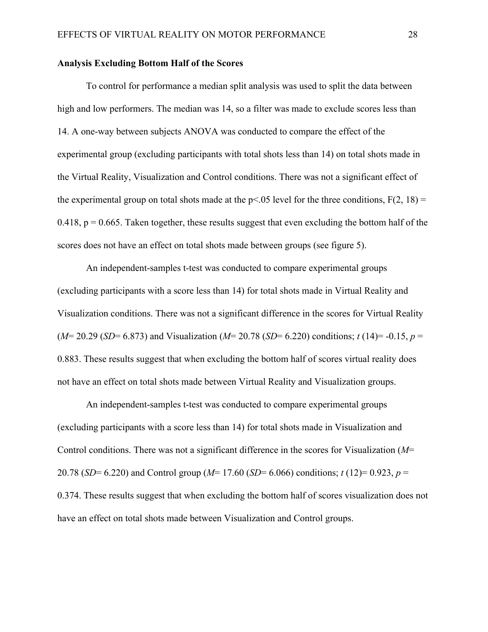#### <span id="page-32-0"></span>**Analysis Excluding Bottom Half of the Scores**

To control for performance a median split analysis was used to split the data between high and low performers. The median was 14, so a filter was made to exclude scores less than 14. A one-way between subjects ANOVA was conducted to compare the effect of the experimental group (excluding participants with total shots less than 14) on total shots made in the Virtual Reality, Visualization and Control conditions. There was not a significant effect of the experimental group on total shots made at the  $p<0.05$  level for the three conditions,  $F(2, 18) =$  $0.418$ ,  $p = 0.665$ . Taken together, these results suggest that even excluding the bottom half of the scores does not have an effect on total shots made between groups (see figure 5).

An independent-samples t-test was conducted to compare experimental groups (excluding participants with a score less than 14) for total shots made in Virtual Reality and Visualization conditions. There was not a significant difference in the scores for Virtual Reality (*M*= 20.29 (*SD*= 6.873) and Visualization (*M*= 20.78 (*SD*= 6.220) conditions; *t* (14)= -0.15, *p* = 0.883. These results suggest that when excluding the bottom half of scores virtual reality does not have an effect on total shots made between Virtual Reality and Visualization groups.

An independent-samples t-test was conducted to compare experimental groups (excluding participants with a score less than 14) for total shots made in Visualization and Control conditions. There was not a significant difference in the scores for Visualization (*M*= 20.78 (*SD*= 6.220) and Control group (*M*= 17.60 (*SD*= 6.066) conditions; *t* (12)= 0.923, *p* = 0.374. These results suggest that when excluding the bottom half of scores visualization does not have an effect on total shots made between Visualization and Control groups.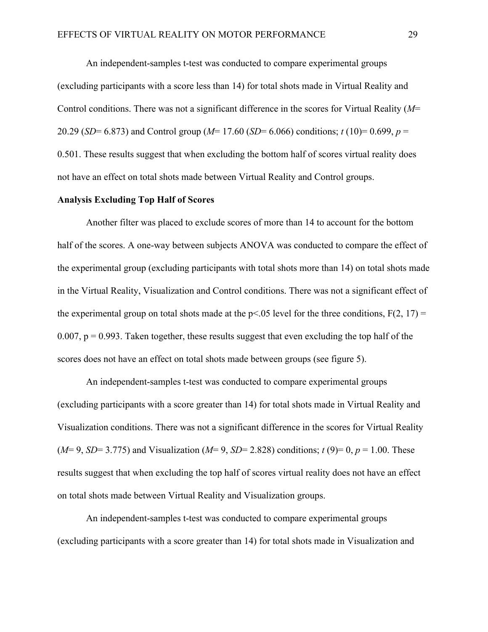An independent-samples t-test was conducted to compare experimental groups (excluding participants with a score less than 14) for total shots made in Virtual Reality and Control conditions. There was not a significant difference in the scores for Virtual Reality (*M*= 20.29 (*SD*= 6.873) and Control group (*M*= 17.60 (*SD*= 6.066) conditions; *t* (10)= 0.699, *p* = 0.501. These results suggest that when excluding the bottom half of scores virtual reality does not have an effect on total shots made between Virtual Reality and Control groups.

### <span id="page-33-0"></span>**Analysis Excluding Top Half of Scores**

Another filter was placed to exclude scores of more than 14 to account for the bottom half of the scores. A one-way between subjects ANOVA was conducted to compare the effect of the experimental group (excluding participants with total shots more than 14) on total shots made in the Virtual Reality, Visualization and Control conditions. There was not a significant effect of the experimental group on total shots made at the  $p<0.05$  level for the three conditions,  $F(2, 17) =$ 0.007,  $p = 0.993$ . Taken together, these results suggest that even excluding the top half of the scores does not have an effect on total shots made between groups (see figure 5).

An independent-samples t-test was conducted to compare experimental groups (excluding participants with a score greater than 14) for total shots made in Virtual Reality and Visualization conditions. There was not a significant difference in the scores for Virtual Reality ( $M= 9$ ,  $SD= 3.775$ ) and Visualization ( $M= 9$ ,  $SD= 2.828$ ) conditions;  $t(9)=0$ ,  $p=1.00$ . These results suggest that when excluding the top half of scores virtual reality does not have an effect on total shots made between Virtual Reality and Visualization groups.

An independent-samples t-test was conducted to compare experimental groups (excluding participants with a score greater than 14) for total shots made in Visualization and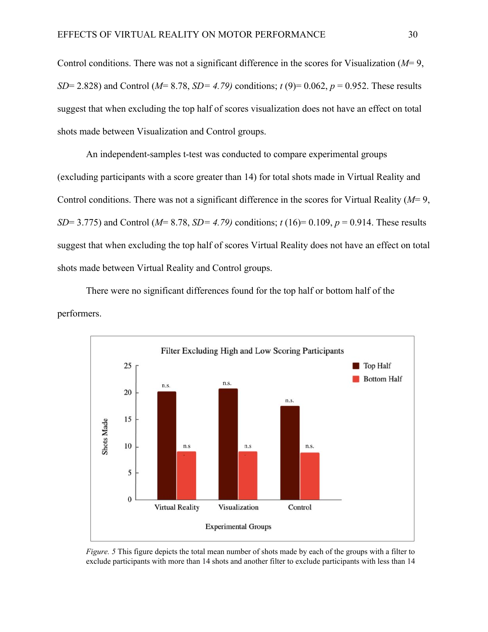Control conditions. There was not a significant difference in the scores for Visualization (*M*= 9, *SD*= 2.828) and Control (*M*= 8.78, *SD= 4.79)* conditions; *t* (9)= 0.062, *p* = 0.952. These results suggest that when excluding the top half of scores visualization does not have an effect on total shots made between Visualization and Control groups.

An independent-samples t-test was conducted to compare experimental groups (excluding participants with a score greater than 14) for total shots made in Virtual Reality and Control conditions. There was not a significant difference in the scores for Virtual Reality (*M*= 9, *SD*= 3.775) and Control (*M*= 8.78, *SD= 4.79)* conditions; *t* (16)= 0.109, *p* = 0.914. These results suggest that when excluding the top half of scores Virtual Reality does not have an effect on total shots made between Virtual Reality and Control groups.

There were no significant differences found for the top half or bottom half of the performers.



*Figure. 5* This figure depicts the total mean number of shots made by each of the groups with a filter to exclude participants with more than 14 shots and another filter to exclude participants with less than 14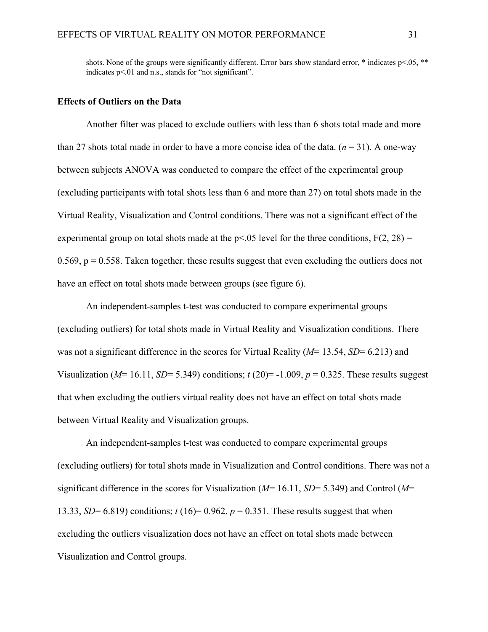shots. None of the groups were significantly different. Error bars show standard error,  $*$  indicates  $p<05$ ,  $**$ indicates p<.01 and n.s., stands for "not significant".

#### <span id="page-35-0"></span>**Effects of Outliers on the Data**

Another filter was placed to exclude outliers with less than 6 shots total made and more than 27 shots total made in order to have a more concise idea of the data. (*n* = 31). A one-way between subjects ANOVA was conducted to compare the effect of the experimental group (excluding participants with total shots less than 6 and more than 27) on total shots made in the Virtual Reality, Visualization and Control conditions. There was not a significant effect of the experimental group on total shots made at the  $p<0.05$  level for the three conditions,  $F(2, 28) =$ 0.569,  $p = 0.558$ . Taken together, these results suggest that even excluding the outliers does not have an effect on total shots made between groups (see figure 6).

An independent-samples t-test was conducted to compare experimental groups (excluding outliers) for total shots made in Virtual Reality and Visualization conditions. There was not a significant difference in the scores for Virtual Reality (*M*= 13.54, *SD*= 6.213) and Visualization ( $M=16.11$ ,  $SD=5.349$ ) conditions;  $t(20)=-1.009$ ,  $p=0.325$ . These results suggest that when excluding the outliers virtual reality does not have an effect on total shots made between Virtual Reality and Visualization groups.

An independent-samples t-test was conducted to compare experimental groups (excluding outliers) for total shots made in Visualization and Control conditions. There was not a significant difference in the scores for Visualization (*M*= 16.11, *SD*= 5.349) and Control (*M*= 13.33, *SD*= 6.819) conditions; *t* (16)= 0.962, *p* = 0.351. These results suggest that when excluding the outliers visualization does not have an effect on total shots made between Visualization and Control groups.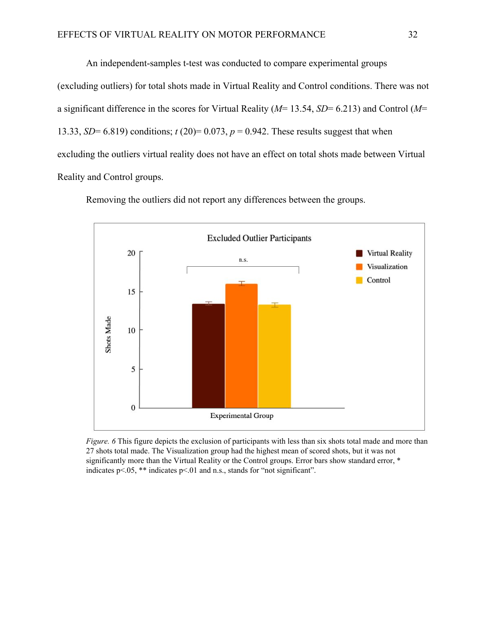An independent-samples t-test was conducted to compare experimental groups (excluding outliers) for total shots made in Virtual Reality and Control conditions. There was not a significant difference in the scores for Virtual Reality (*M*= 13.54, *SD*= 6.213) and Control (*M*= 13.33, *SD*= 6.819) conditions; *t* (20)= 0.073, *p* = 0.942. These results suggest that when excluding the outliers virtual reality does not have an effect on total shots made between Virtual Reality and Control groups.

Removing the outliers did not report any differences between the groups.



*Figure. 6* This figure depicts the exclusion of participants with less than six shots total made and more than 27 shots total made. The Visualization group had the highest mean of scored shots, but it was not significantly more than the Virtual Reality or the Control groups. Error bars show standard error, \* indicates p<.05, \*\* indicates p<.01 and n.s., stands for "not significant".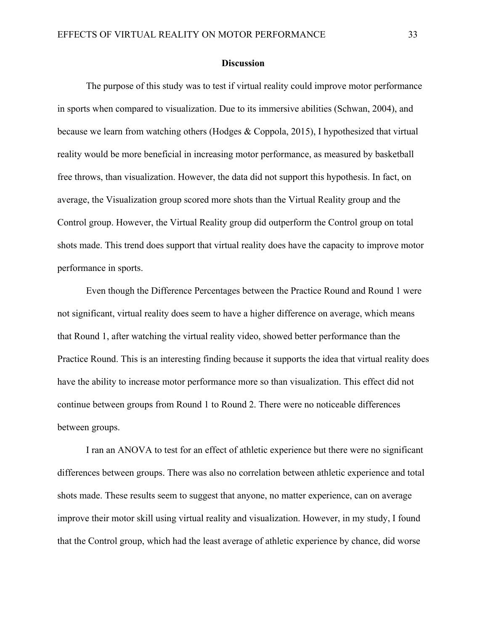#### **Discussion**

<span id="page-37-0"></span>The purpose of this study was to test if virtual reality could improve motor performance in sports when compared to visualization. Due to its immersive abilities (Schwan, 2004), and because we learn from watching others (Hodges & Coppola, 2015), I hypothesized that virtual reality would be more beneficial in increasing motor performance, as measured by basketball free throws, than visualization. However, the data did not support this hypothesis. In fact, on average, the Visualization group scored more shots than the Virtual Reality group and the Control group. However, the Virtual Reality group did outperform the Control group on total shots made. This trend does support that virtual reality does have the capacity to improve motor performance in sports.

Even though the Difference Percentages between the Practice Round and Round 1 were not significant, virtual reality does seem to have a higher difference on average, which means that Round 1, after watching the virtual reality video, showed better performance than the Practice Round. This is an interesting finding because it supports the idea that virtual reality does have the ability to increase motor performance more so than visualization. This effect did not continue between groups from Round 1 to Round 2. There were no noticeable differences between groups.

I ran an ANOVA to test for an effect of athletic experience but there were no significant differences between groups. There was also no correlation between athletic experience and total shots made. These results seem to suggest that anyone, no matter experience, can on average improve their motor skill using virtual reality and visualization. However, in my study, I found that the Control group, which had the least average of athletic experience by chance, did worse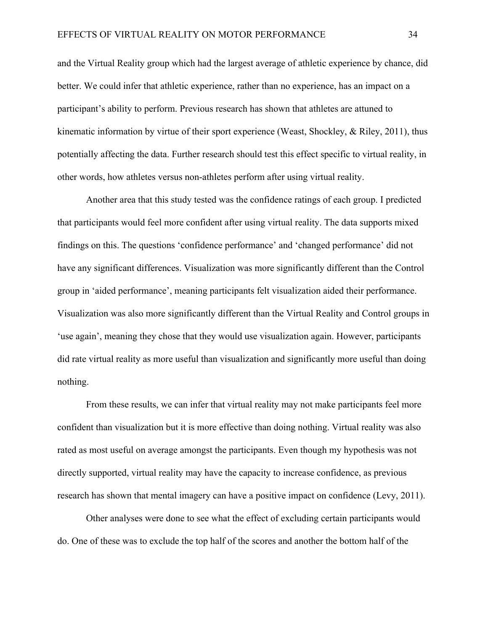and the Virtual Reality group which had the largest average of athletic experience by chance, did better. We could infer that athletic experience, rather than no experience, has an impact on a participant's ability to perform. Previous research has shown that athletes are attuned to kinematic information by virtue of their sport experience (Weast, Shockley, & Riley, 2011), thus potentially affecting the data. Further research should test this effect specific to virtual reality, in other words, how athletes versus non-athletes perform after using virtual reality.

Another area that this study tested was the confidence ratings of each group. I predicted that participants would feel more confident after using virtual reality. The data supports mixed findings on this. The questions 'confidence performance' and 'changed performance' did not have any significant differences. Visualization was more significantly different than the Control group in 'aided performance', meaning participants felt visualization aided their performance. Visualization was also more significantly different than the Virtual Reality and Control groups in 'use again', meaning they chose that they would use visualization again. However, participants did rate virtual reality as more useful than visualization and significantly more useful than doing nothing.

From these results, we can infer that virtual reality may not make participants feel more confident than visualization but it is more effective than doing nothing. Virtual reality was also rated as most useful on average amongst the participants. Even though my hypothesis was not directly supported, virtual reality may have the capacity to increase confidence, as previous research has shown that mental imagery can have a positive impact on confidence (Levy, 2011).

Other analyses were done to see what the effect of excluding certain participants would do. One of these was to exclude the top half of the scores and another the bottom half of the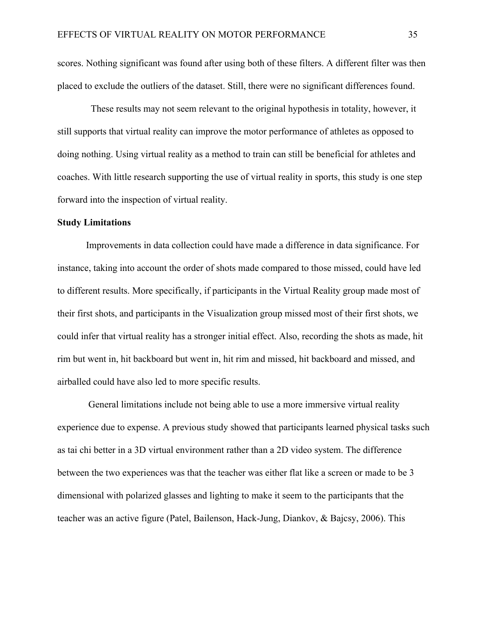scores. Nothing significant was found after using both of these filters. A different filter was then placed to exclude the outliers of the dataset. Still, there were no significant differences found.

 These results may not seem relevant to the original hypothesis in totality, however, it still supports that virtual reality can improve the motor performance of athletes as opposed to doing nothing. Using virtual reality as a method to train can still be beneficial for athletes and coaches. With little research supporting the use of virtual reality in sports, this study is one step forward into the inspection of virtual reality.

#### <span id="page-39-0"></span>**Study Limitations**

Improvements in data collection could have made a difference in data significance. For instance, taking into account the order of shots made compared to those missed, could have led to different results. More specifically, if participants in the Virtual Reality group made most of their first shots, and participants in the Visualization group missed most of their first shots, we could infer that virtual reality has a stronger initial effect. Also, recording the shots as made, hit rim but went in, hit backboard but went in, hit rim and missed, hit backboard and missed, and airballed could have also led to more specific results.

 General limitations include not being able to use a more immersive virtual reality experience due to expense. A previous study showed that participants learned physical tasks such as tai chi better in a 3D virtual environment rather than a 2D video system. The difference between the two experiences was that the teacher was either flat like a screen or made to be 3 dimensional with polarized glasses and lighting to make it seem to the participants that the teacher was an active figure (Patel, Bailenson, Hack-Jung, Diankov, & Bajcsy, 2006). This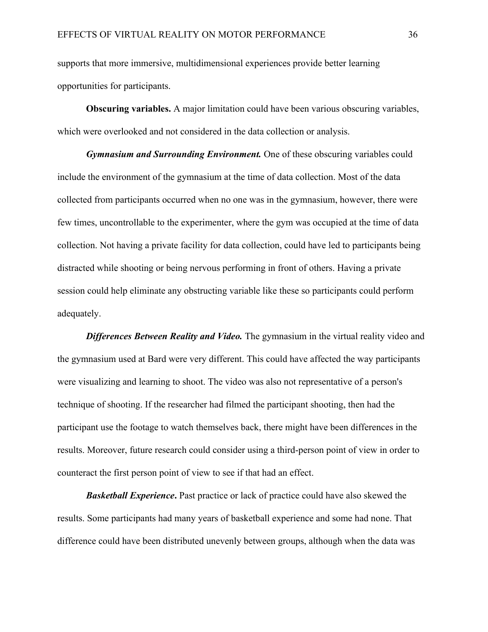supports that more immersive, multidimensional experiences provide better learning opportunities for participants.

**Obscuring variables.** A major limitation could have been various obscuring variables, which were overlooked and not considered in the data collection or analysis.

*Gymnasium and Surrounding Environment.* One of these obscuring variables could include the environment of the gymnasium at the time of data collection. Most of the data collected from participants occurred when no one was in the gymnasium, however, there were few times, uncontrollable to the experimenter, where the gym was occupied at the time of data collection. Not having a private facility for data collection, could have led to participants being distracted while shooting or being nervous performing in front of others. Having a private session could help eliminate any obstructing variable like these so participants could perform adequately.

*Differences Between Reality and Video.* The gymnasium in the virtual reality video and the gymnasium used at Bard were very different. This could have affected the way participants were visualizing and learning to shoot. The video was also not representative of a person's technique of shooting. If the researcher had filmed the participant shooting, then had the participant use the footage to watch themselves back, there might have been differences in the results. Moreover, future research could consider using a third-person point of view in order to counteract the first person point of view to see if that had an effect.

*Basketball Experience***.** Past practice or lack of practice could have also skewed the results. Some participants had many years of basketball experience and some had none. That difference could have been distributed unevenly between groups, although when the data was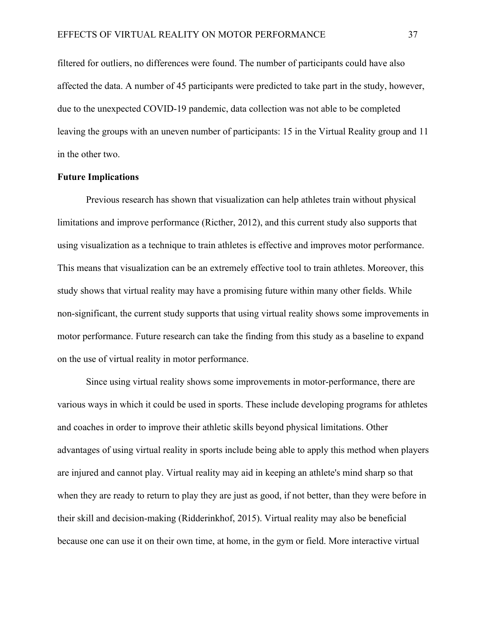filtered for outliers, no differences were found. The number of participants could have also affected the data. A number of 45 participants were predicted to take part in the study, however, due to the unexpected COVID-19 pandemic, data collection was not able to be completed leaving the groups with an uneven number of participants: 15 in the Virtual Reality group and 11 in the other two.

#### <span id="page-41-0"></span>**Future Implications**

Previous research has shown that visualization can help athletes train without physical limitations and improve performance (Ricther, 2012), and this current study also supports that using visualization as a technique to train athletes is effective and improves motor performance. This means that visualization can be an extremely effective tool to train athletes. Moreover, this study shows that virtual reality may have a promising future within many other fields. While non-significant, the current study supports that using virtual reality shows some improvements in motor performance. Future research can take the finding from this study as a baseline to expand on the use of virtual reality in motor performance.

Since using virtual reality shows some improvements in motor-performance, there are various ways in which it could be used in sports. These include developing programs for athletes and coaches in order to improve their athletic skills beyond physical limitations. Other advantages of using virtual reality in sports include being able to apply this method when players are injured and cannot play. Virtual reality may aid in keeping an athlete's mind sharp so that when they are ready to return to play they are just as good, if not better, than they were before in their skill and decision-making (Ridderinkhof, 2015). Virtual reality may also be beneficial because one can use it on their own time, at home, in the gym or field. More interactive virtual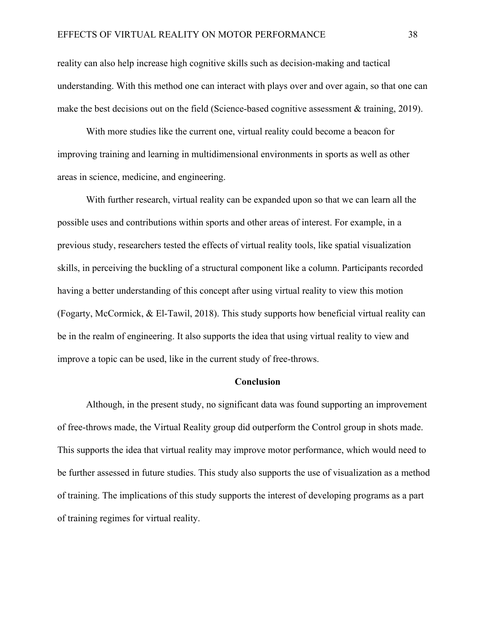reality can also help increase high cognitive skills such as decision-making and tactical understanding. With this method one can interact with plays over and over again, so that one can make the best decisions out on the field (Science-based cognitive assessment & training, 2019).

With more studies like the current one, virtual reality could become a beacon for improving training and learning in multidimensional environments in sports as well as other areas in science, medicine, and engineering.

With further research, virtual reality can be expanded upon so that we can learn all the possible uses and contributions within sports and other areas of interest. For example, in a previous study, researchers tested the effects of virtual reality tools, like spatial visualization skills, in perceiving the buckling of a structural component like a column. Participants recorded having a better understanding of this concept after using virtual reality to view this motion (Fogarty, McCormick, & El-Tawil, 2018). This study supports how beneficial virtual reality can be in the realm of engineering. It also supports the idea that using virtual reality to view and improve a topic can be used, like in the current study of free-throws.

### **Conclusion**

<span id="page-42-0"></span>Although, in the present study, no significant data was found supporting an improvement of free-throws made, the Virtual Reality group did outperform the Control group in shots made. This supports the idea that virtual reality may improve motor performance, which would need to be further assessed in future studies. This study also supports the use of visualization as a method of training. The implications of this study supports the interest of developing programs as a part of training regimes for virtual reality.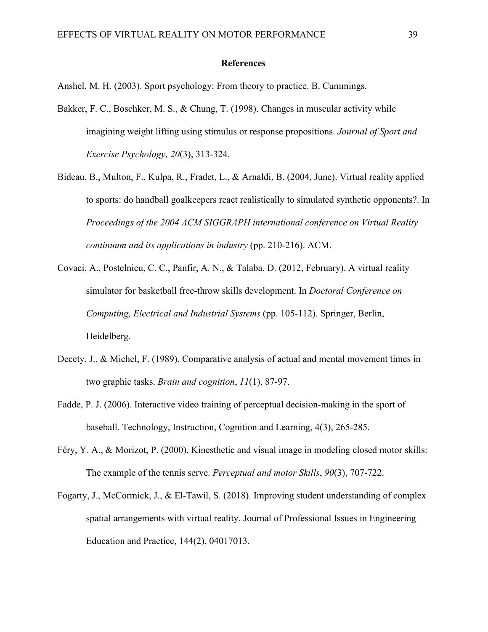#### **References**

<span id="page-43-0"></span>Anshel, M. H. (2003). Sport psychology: From theory to practice. B. Cummings.

- Bakker, F. C., Boschker, M. S., & Chung, T. (1998). Changes in muscular activity while imagining weight lifting using stimulus or response propositions. *Journal of Sport and Exercise Psychology*, *20*(3), 313-324.
- Bideau, B., Multon, F., Kulpa, R., Fradet, L., & Arnaldi, B. (2004, June). Virtual reality applied to sports: do handball goalkeepers react realistically to simulated synthetic opponents?. In *Proceedings of the 2004 ACM SIGGRAPH international conference on Virtual Reality continuum and its applications in industry* (pp. 210-216). ACM.
- Covaci, A., Postelnicu, C. C., Panfir, A. N., & Talaba, D. (2012, February). A virtual reality simulator for basketball free-throw skills development. In *Doctoral Conference on Computing, Electrical and Industrial Systems* (pp. 105-112). Springer, Berlin, Heidelberg.
- Decety, J., & Michel, F. (1989). Comparative analysis of actual and mental movement times in two graphic tasks. *Brain and cognition*, *11*(1), 87-97.
- Fadde, P. J. (2006). Interactive video training of perceptual decision-making in the sport of baseball. Technology, Instruction, Cognition and Learning, 4(3), 265-285.
- Féry, Y. A., & Morizot, P. (2000). Kinesthetic and visual image in modeling closed motor skills: The example of the tennis serve. *Perceptual and motor Skills*, *90*(3), 707-722.
- Fogarty, J., McCormick, J., & El-Tawil, S. (2018). Improving student understanding of complex spatial arrangements with virtual reality. Journal of Professional Issues in Engineering Education and Practice, 144(2), 04017013.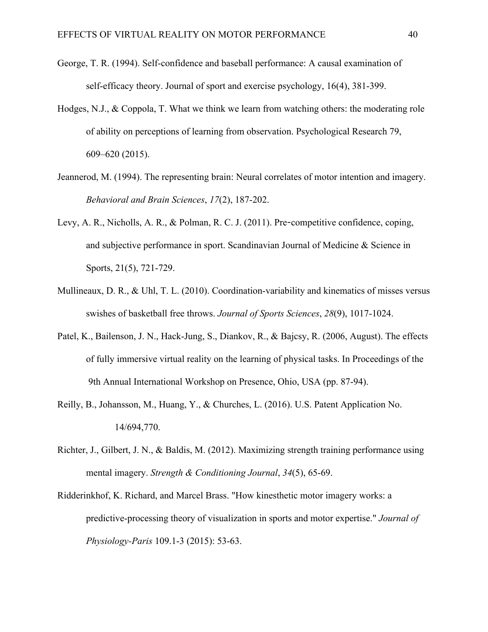- George, T. R. (1994). Self-confidence and baseball performance: A causal examination of self-efficacy theory. Journal of sport and exercise psychology, 16(4), 381-399.
- Hodges, N.J., & Coppola, T. What we think we learn from watching others: the moderating role of ability on perceptions of learning from observation. Psychological Research 79, 609–620 (2015).
- Jeannerod, M. (1994). The representing brain: Neural correlates of motor intention and imagery. *Behavioral and Brain Sciences*, *17*(2), 187-202.
- Levy, A. R., Nicholls, A. R., & Polman, R. C. J. (2011). Pre-competitive confidence, coping, and subjective performance in sport. Scandinavian Journal of Medicine & Science in Sports, 21(5), 721-729.
- Mullineaux, D. R., & Uhl, T. L. (2010). Coordination-variability and kinematics of misses versus swishes of basketball free throws. *Journal of Sports Sciences*, *28*(9), 1017-1024.
- Patel, K., Bailenson, J. N., Hack-Jung, S., Diankov, R., & Bajcsy, R. (2006, August). The effects of fully immersive virtual reality on the learning of physical tasks. In Proceedings of the 9th Annual International Workshop on Presence, Ohio, USA (pp. 87-94).
- Reilly, B., Johansson, M., Huang, Y., & Churches, L. (2016). U.S. Patent Application No. 14/694,770.
- Richter, J., Gilbert, J. N., & Baldis, M. (2012). Maximizing strength training performance using mental imagery. *Strength & Conditioning Journal*, *34*(5), 65-69.
- Ridderinkhof, K. Richard, and Marcel Brass. "How kinesthetic motor imagery works: a predictive-processing theory of visualization in sports and motor expertise." *Journal of Physiology-Paris* 109.1-3 (2015): 53-63.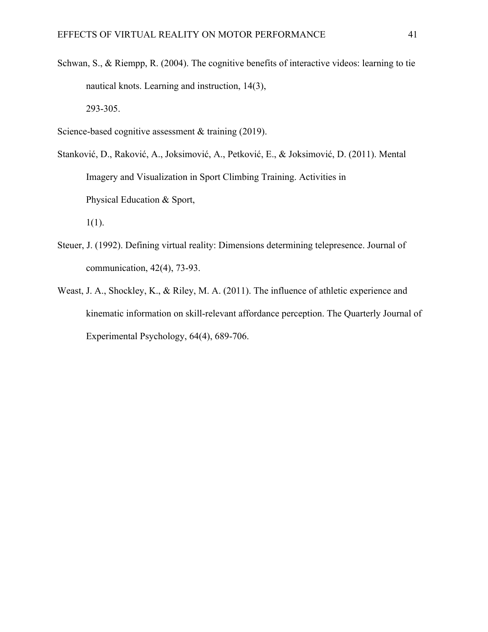Schwan, S., & Riempp, R. (2004). The cognitive benefits of interactive videos: learning to tie nautical knots. Learning and instruction, 14(3), 293-305.

Science-based cognitive assessment & training (2019).

- Stanković, D., Raković, A., Joksimović, A., Petković, E., & Joksimović, D. (2011). Mental Imagery and Visualization in Sport Climbing Training. Activities in Physical Education & Sport,  $1(1)$ .
- Steuer, J. (1992). Defining virtual reality: Dimensions determining telepresence. Journal of communication, 42(4), 73-93.
- Weast, J. A., Shockley, K., & Riley, M. A. (2011). The influence of athletic experience and kinematic information on skill-relevant affordance perception. The Quarterly Journal of Experimental Psychology, 64(4), 689-706.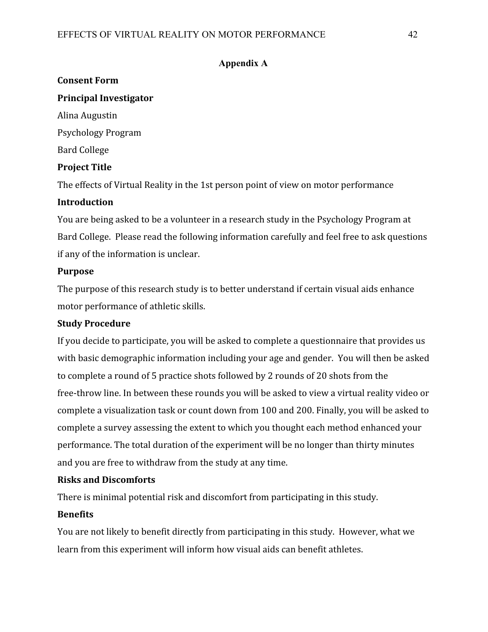### **Appendix A**

### <span id="page-46-0"></span>**Consent Form**

**Principal Investigator** Alina Augustin Psychology Program Bard College **Project Title**

The effects of Virtual Reality in the 1st person point of view on motor performance

### **Introduction**

You are being asked to be a volunteer in a research study in the Psychology Program at Bard College. Please read the following information carefully and feel free to ask questions if any of the information is unclear.

### **Purpose**

The purpose of this research study is to better understand if certain visual aids enhance motor performance of athletic skills.

### **Study Procedure**

If you decide to participate, you will be asked to complete a questionnaire that provides us with basic demographic information including your age and gender. You will then be asked to complete a round of 5 practice shots followed by 2 rounds of 20 shots from the free-throw line. In between these rounds you will be asked to view a virtual reality video or complete a visualization task or count down from 100 and 200. Finally, you will be asked to complete a survey assessing the extent to which you thought each method enhanced your performance. The total duration of the experiment will be no longer than thirty minutes and you are free to withdraw from the study at any time.

### **Risks and Discomforts**

There is minimal potential risk and discomfort from participating in this study.

### **Benefits**

You are not likely to benefit directly from participating in this study. However, what we learn from this experiment will inform how visual aids can benefit athletes.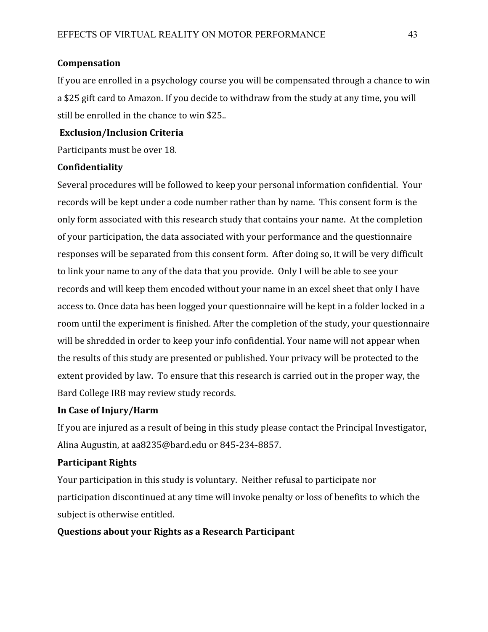### **Compensation**

If you are enrolled in a psychology course you will be compensated through a chance to win a \$25 gift card to Amazon. If you decide to withdraw from the study at any time, you will still be enrolled in the chance to win \$25..

### **Exclusion/Inclusion Criteria**

Participants must be over 18.

### **Confidentiality**

Several procedures will be followed to keep your personal information confidential. Your records will be kept under a code number rather than by name. This consent form is the only form associated with this research study that contains your name. At the completion of your participation, the data associated with your performance and the questionnaire responses will be separated from this consent form. After doing so, it will be very difficult to link your name to any of the data that you provide. Only I will be able to see your records and will keep them encoded without your name in an excel sheet that only I have access to. Once data has been logged your questionnaire will be kept in a folder locked in a room until the experiment is finished. After the completion of the study, your questionnaire will be shredded in order to keep your info confidential. Your name will not appear when the results of this study are presented or published. Your privacy will be protected to the extent provided by law. To ensure that this research is carried out in the proper way, the Bard College IRB may review study records.

### **In Case of Injury/Harm**

If you are injured as a result of being in this study please contact the Principal Investigator, Alina Augustin, at aa8235@bard.edu or 845-234-8857.

### **Participant Rights**

Your participation in this study is voluntary. Neither refusal to participate nor participation discontinued at any time will invoke penalty or loss of benefits to which the subject is otherwise entitled.

### **Questions about your Rights as a Research Participant**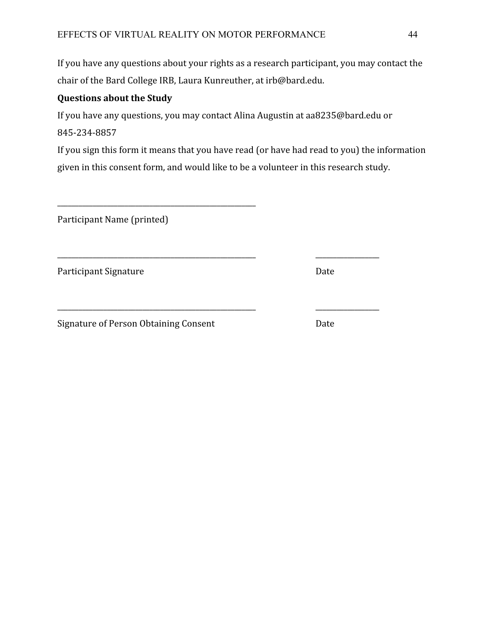If you have any questions about your rights as a research participant, you may contact the chair of the Bard College IRB, Laura Kunreuther, at irb@bard.edu.

### **Questions about the Study**

If you have any questions, you may contact Alina Augustin at aa8235@bard.edu or 845-234-8857

\_\_\_\_\_\_\_\_\_\_\_\_\_\_\_\_\_\_\_\_\_\_\_\_\_\_\_\_\_\_\_\_\_\_\_\_\_\_\_\_\_\_\_\_\_\_\_\_\_\_\_\_\_\_\_\_ \_\_\_\_\_\_\_\_\_\_\_\_\_\_\_\_\_\_

If you sign this form it means that you have read (or have had read to you) the information given in this consent form, and would like to be a volunteer in this research study.

Participant Name (printed)

Participant Signature Date

\_\_\_\_\_\_\_\_\_\_\_\_\_\_\_\_\_\_\_\_\_\_\_\_\_\_\_\_\_\_\_\_\_\_\_\_\_\_\_\_\_\_\_\_\_\_\_\_\_\_\_\_\_\_\_\_ \_\_\_\_\_\_\_\_\_\_\_\_\_\_\_\_\_\_

\_\_\_\_\_\_\_\_\_\_\_\_\_\_\_\_\_\_\_\_\_\_\_\_\_\_\_\_\_\_\_\_\_\_\_\_\_\_\_\_\_\_\_\_\_\_\_\_\_\_\_\_\_\_\_\_

Signature of Person Obtaining Consent Theorem Date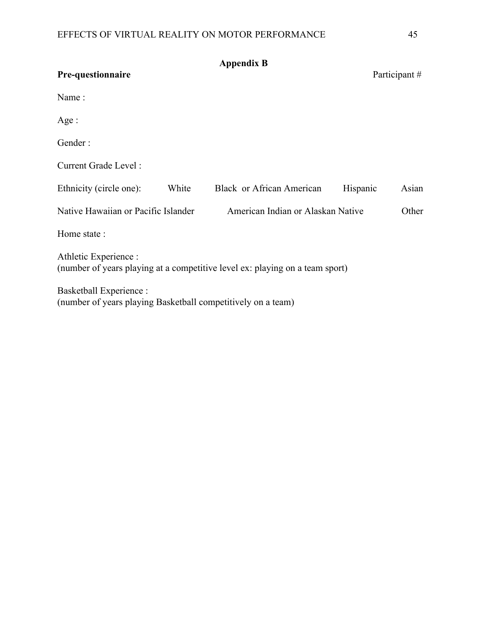|                                                                                                       |       | <b>Appendix B</b>                 |          |               |  |
|-------------------------------------------------------------------------------------------------------|-------|-----------------------------------|----------|---------------|--|
| Pre-questionnaire                                                                                     |       |                                   |          | Participant # |  |
| Name:                                                                                                 |       |                                   |          |               |  |
| Age:                                                                                                  |       |                                   |          |               |  |
| Gender:                                                                                               |       |                                   |          |               |  |
| Current Grade Level:                                                                                  |       |                                   |          |               |  |
| Ethnicity (circle one):                                                                               | White | <b>Black</b> or African American  | Hispanic | Asian         |  |
| Native Hawaiian or Pacific Islander                                                                   |       | American Indian or Alaskan Native |          | Other         |  |
| Home state:                                                                                           |       |                                   |          |               |  |
| Athletic Experience :<br>(number of years playing at a competitive level ex: playing on a team sport) |       |                                   |          |               |  |
| Basketball Experience :<br>(number of years playing Basketball competitively on a team)               |       |                                   |          |               |  |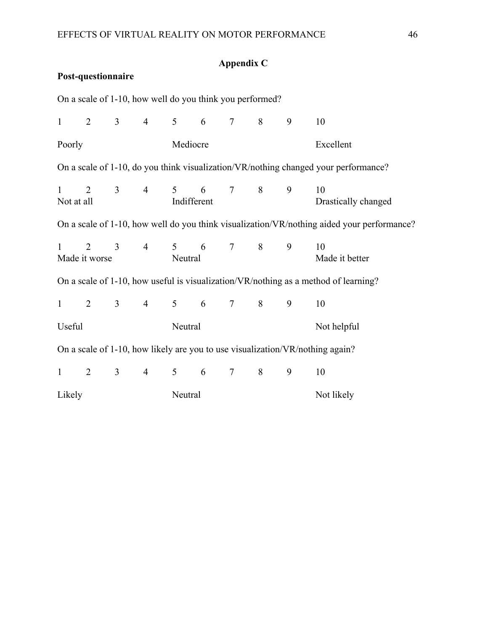# **Appendix C**

| Post-questionnaire                                                                         |                                     |                 |                |             |  |           |           |   |                           |
|--------------------------------------------------------------------------------------------|-------------------------------------|-----------------|----------------|-------------|--|-----------|-----------|---|---------------------------|
| On a scale of 1-10, how well do you think you performed?                                   |                                     |                 |                |             |  |           |           |   |                           |
| $1 \qquad \qquad$                                                                          |                                     | 2 3 4 5 6 7 8 9 |                |             |  |           |           |   | 10                        |
| Poorly                                                                                     |                                     |                 | Mediocre       |             |  |           | Excellent |   |                           |
| On a scale of 1-10, do you think visualization/VR/nothing changed your performance?        |                                     |                 |                |             |  |           |           |   |                           |
| Not at all                                                                                 | $1 \quad 2 \quad 3 \quad 4$         |                 |                | Indifferent |  | 5 6 7 8 9 |           |   | 10<br>Drastically changed |
| On a scale of 1-10, how well do you think visualization/VR/nothing aided your performance? |                                     |                 |                |             |  |           |           |   |                           |
| $\mathbf{1}$                                                                               | Made it worse                       | 2 3 4 5 6 7 8 9 |                | Neutral     |  |           |           |   | 10<br>Made it better      |
| On a scale of 1-10, how useful is visualization/VR/nothing as a method of learning?        |                                     |                 |                |             |  |           |           |   |                           |
|                                                                                            | $1 \t2 \t3 \t4 \t5 \t6 \t7 \t8 \t9$ |                 |                |             |  |           |           |   | 10                        |
| Useful<br>Neutral                                                                          |                                     |                 | Not helpful    |             |  |           |           |   |                           |
| On a scale of 1-10, how likely are you to use visualization/VR/nothing again?              |                                     |                 |                |             |  |           |           |   |                           |
| $\mathbf{1}$                                                                               | $\overline{2}$                      | 3 <sup>7</sup>  | $\overline{4}$ |             |  | 5 6 7 8   |           | 9 | 10                        |
| Neutral<br>Likely                                                                          |                                     |                 |                | Not likely  |  |           |           |   |                           |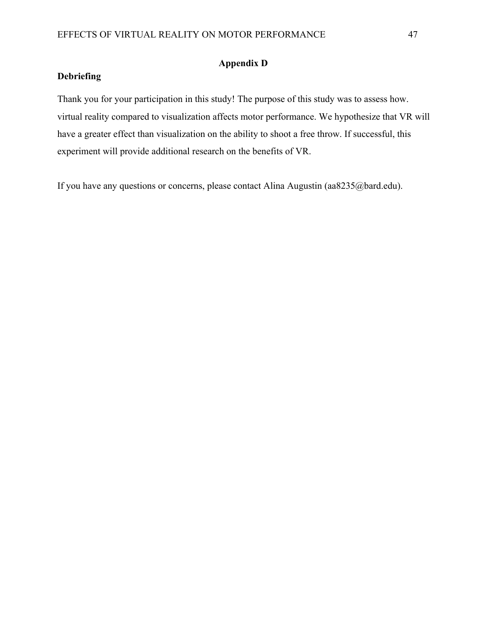### **Appendix D**

### **Debriefing**

Thank you for your participation in this study! The purpose of this study was to assess how. virtual reality compared to visualization affects motor performance. We hypothesize that VR will have a greater effect than visualization on the ability to shoot a free throw. If successful, this experiment will provide additional research on the benefits of VR.

If you have any questions or concerns, please contact Alina Augustin (aa8235@bard.edu).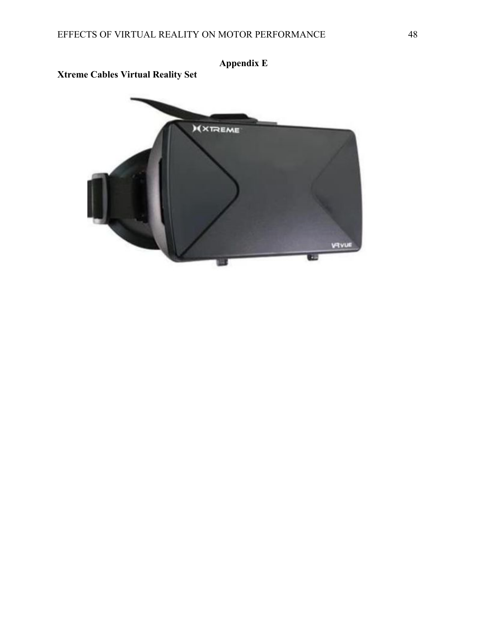

# **Appendix E**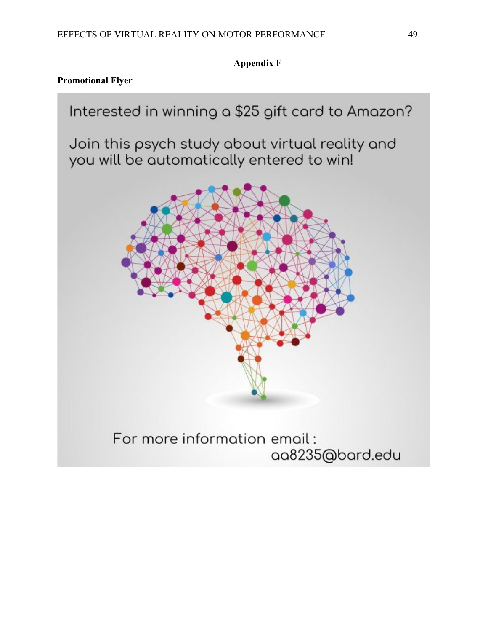**Appendix F**

### **Promotional Flyer**

Interested in winning a \$25 gift card to Amazon?

Join this psych study about virtual reality and you will be automatically entered to win!



For more information email: aa8235@bard.edu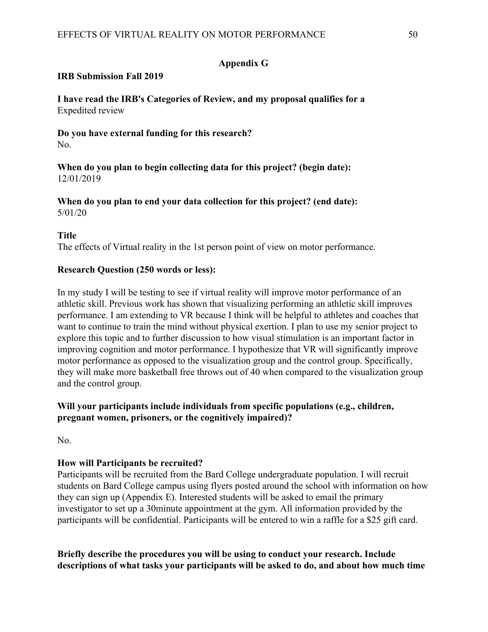### **Appendix G**

### **IRB Submission Fall 2019**

**I have read the IRB's Categories of Review, and my proposal qualifies for a** Expedited review

**Do you have external funding for this research?**  No.

**When do you plan to begin collecting data for this project? (begin date):** 12/01/2019

**When do you plan to end your data collection for this project? (end date):**  5/01/20

**Title**

The effects of Virtual reality in the 1st person point of view on motor performance.

### **Research Question (250 words or less):**

In my study I will be testing to see if virtual reality will improve motor performance of an athletic skill. Previous work has shown that visualizing performing an athletic skill improves performance. I am extending to VR because I think will be helpful to athletes and coaches that want to continue to train the mind without physical exertion. I plan to use my senior project to explore this topic and to further discussion to how visual stimulation is an important factor in improving cognition and motor performance. I hypothesize that VR will significantly improve motor performance as opposed to the visualization group and the control group. Specifically, they will make more basketball free throws out of 40 when compared to the visualization group and the control group.

### **Will your participants include individuals from specific populations (e.g., children, pregnant women, prisoners, or the cognitively impaired)?**

No.

### **How will Participants be recruited?**

Participants will be recruited from the Bard College undergraduate population. I will recruit students on Bard College campus using flyers posted around the school with information on how they can sign up (Appendix E). Interested students will be asked to email the primary investigator to set up a 30minute appointment at the gym. All information provided by the participants will be confidential. Participants will be entered to win a raffle for a \$25 gift card.

**Briefly describe the procedures you will be using to conduct your research. Include descriptions of what tasks your participants will be asked to do, and about how much time**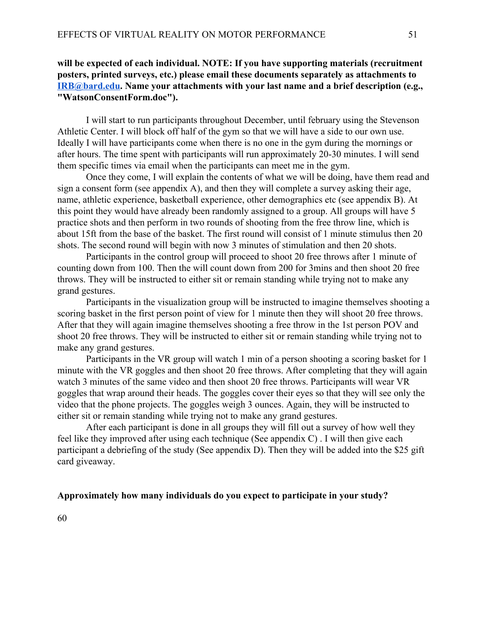### **will be expected of each individual. NOTE: If you have supporting materials (recruitment posters, printed surveys, etc.) please email these documents separately as attachments to [IRB@bard.edu.](http://tools01.bard.edu/wstools/webforms/IRB@bard.edu) Name your attachments with your last name and a brief description (e.[g.](http://tools01.bard.edu/wstools/webforms/IRB@bard.edu), "WatsonConsentForm.doc").**

I will start to run participants throughout December, until february using the Stevenson Athletic Center. I will block off half of the gym so that we will have a side to our own use. Ideally I will have participants come when there is no one in the gym during the mornings or after hours. The time spent with participants will run approximately 20-30 minutes. I will send them specific times via email when the participants can meet me in the gym.

Once they come, I will explain the contents of what we will be doing, have them read and sign a consent form (see appendix A), and then they will complete a survey asking their age, name, athletic experience, basketball experience, other demographics etc (see appendix B). At this point they would have already been randomly assigned to a group. All groups will have 5 practice shots and then perform in two rounds of shooting from the free throw line, which is about 15ft from the base of the basket. The first round will consist of 1 minute stimulus then 20 shots. The second round will begin with now 3 minutes of stimulation and then 20 shots.

Participants in the control group will proceed to shoot 20 free throws after 1 minute of counting down from 100. Then the will count down from 200 for 3mins and then shoot 20 free throws. They will be instructed to either sit or remain standing while trying not to make any grand gestures.

Participants in the visualization group will be instructed to imagine themselves shooting a scoring basket in the first person point of view for 1 minute then they will shoot 20 free throws. After that they will again imagine themselves shooting a free throw in the 1st person POV and shoot 20 free throws. They will be instructed to either sit or remain standing while trying not to make any grand gestures.

Participants in the VR group will watch 1 min of a person shooting a scoring basket for 1 minute with the VR goggles and then shoot 20 free throws. After completing that they will again watch 3 minutes of the same video and then shoot 20 free throws. Participants will wear VR goggles that wrap around their heads. The goggles cover their eyes so that they will see only the video that the phone projects. The goggles weigh 3 ounces. Again, they will be instructed to either sit or remain standing while trying not to make any grand gestures.

After each participant is done in all groups they will fill out a survey of how well they feel like they improved after using each technique (See appendix C) . I will then give each participant a debriefing of the study (See appendix D). Then they will be added into the \$25 gift card giveaway.

#### **Approximately how many individuals do you expect to participate in your study?**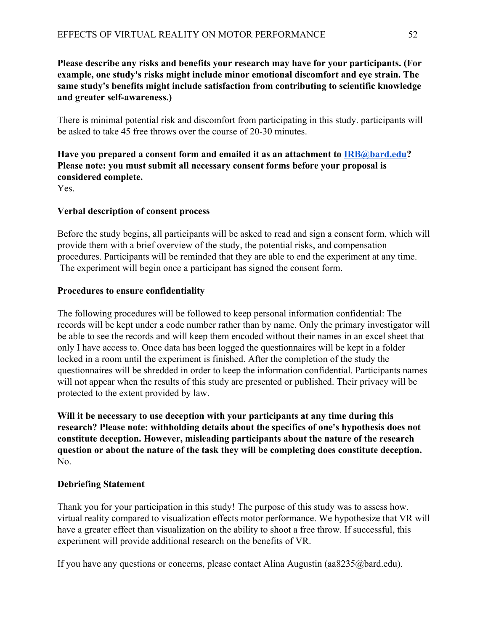**Please describe any risks and benefits your research may have for your participants. (For example, one study's risks might include minor emotional discomfort and eye strain. The same study's benefits might include satisfaction from contributing to scientific knowledge and greater self-awareness.)** 

There is minimal potential risk and discomfort from participating in this study. participants will be asked to take 45 free throws over the course of 20-30 minutes.

**Have you prepared a consent form and emailed it as an attachment to [IRB@bard.edu?](mailto:IRB@bard.edu) Please note: you must submit all necessary consent forms before your proposal is considered complete.**

Yes.

### **Verbal description of consent process**

Before the study begins, all participants will be asked to read and sign a consent form, which will provide them with a brief overview of the study, the potential risks, and compensation procedures. Participants will be reminded that they are able to end the experiment at any time. The experiment will begin once a participant has signed the consent form.

### **Procedures to ensure confidentiality**

The following procedures will be followed to keep personal information confidential: The records will be kept under a code number rather than by name. Only the primary investigator will be able to see the records and will keep them encoded without their names in an excel sheet that only I have access to. Once data has been logged the questionnaires will be kept in a folder locked in a room until the experiment is finished. After the completion of the study the questionnaires will be shredded in order to keep the information confidential. Participants names will not appear when the results of this study are presented or published. Their privacy will be protected to the extent provided by law.

**Will it be necessary to use deception with your participants at any time during this research? Please note: withholding details about the specifics of one's hypothesis does not constitute deception. However, misleading participants about the nature of the research question or about the nature of the task they will be completing does constitute deception.** No.

### **Debriefing Statement**

Thank you for your participation in this study! The purpose of this study was to assess how. virtual reality compared to visualization effects motor performance. We hypothesize that VR will have a greater effect than visualization on the ability to shoot a free throw. If successful, this experiment will provide additional research on the benefits of VR.

If you have any questions or concerns, please contact Alina Augustin (aa8235@bard.edu).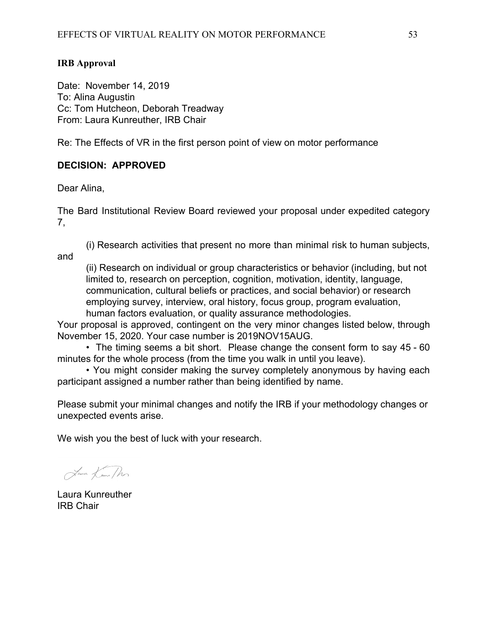### **IRB Approval**

Date: November 14, 2019 To: Alina Augustin Cc: Tom Hutcheon, Deborah Treadway From: Laura Kunreuther, IRB Chair

Re: The Effects of VR in the first person point of view on motor performance

### **DECISION: APPROVED**

Dear Alina,

The Bard Institutional Review Board reviewed your proposal under expedited category 7,

(i) Research activities that present no more than minimal risk to human subjects, and

(ii) Research on individual or group characteristics or behavior (including, but not limited to, research on perception, cognition, motivation, identity, language, communication, cultural beliefs or practices, and social behavior) or research employing survey, interview, oral history, focus group, program evaluation,

human factors evaluation, or quality assurance methodologies.

Your proposal is approved, contingent on the very minor changes listed below, through November 15, 2020. Your case number is 2019NOV15AUG.

• The timing seems a bit short. Please change the consent form to say 45 - 60 minutes for the whole process (from the time you walk in until you leave).

• You might consider making the survey completely anonymous by having each participant assigned a number rather than being identified by name.

Please submit your minimal changes and notify the IRB if your methodology changes or unexpected events arise.

We wish you the best of luck with your research.

Laura Keme The

Laura Kunreuther IRB Chair